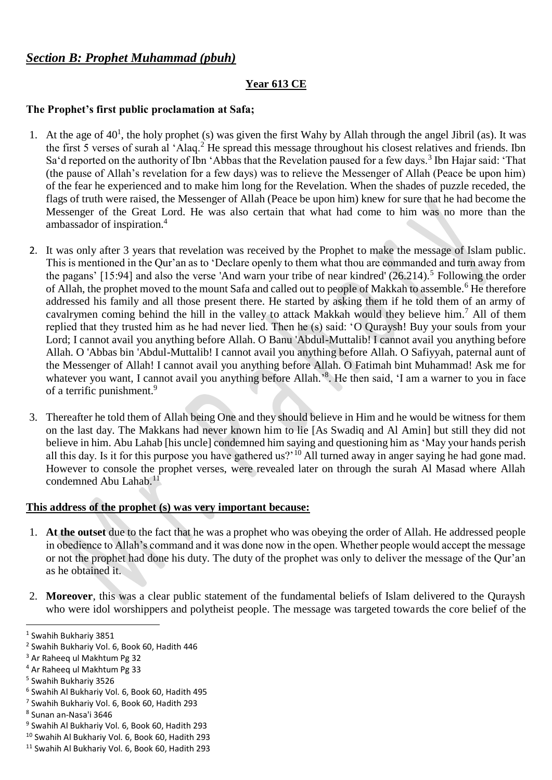## *Section B: Prophet Muhammad (pbuh)*

#### **Year 613 CE**

# **The Prophet's first public proclamation at Safa;**

- 1. At the age of  $40<sup>1</sup>$ , the holy prophet (s) was given the first Wahy by Allah through the angel Jibril (as). It was the first 5 verses of surah al 'Alaq.<sup>2</sup> He spread this message throughout his closest relatives and friends. Ibn Sa'd reported on the authority of Ibn 'Abbas that the Revelation paused for a few days.<sup>3</sup> Ibn Hajar said: 'That (the pause of Allah's revelation for a few days) was to relieve the Messenger of Allah (Peace be upon him) of the fear he experienced and to make him long for the Revelation. When the shades of puzzle receded, the flags of truth were raised, the Messenger of Allah (Peace be upon him) knew for sure that he had become the Messenger of the Great Lord. He was also certain that what had come to him was no more than the ambassador of inspiration.<sup>4</sup>
- 2. It was only after 3 years that revelation was received by the Prophet to make the message of Islam public. This is mentioned in the Qur'an as to 'Declare openly to them what thou are commanded and turn away from the pagans'  $[15:94]$  and also the verse 'And warn your tribe of near kindred'  $(26.214)$ .<sup>5</sup> Following the order of Allah, the prophet moved to the mount Safa and called out to people of Makkah to assemble.<sup>6</sup> He therefore addressed his family and all those present there. He started by asking them if he told them of an army of cavalrymen coming behind the hill in the valley to attack Makkah would they believe him.<sup>7</sup> All of them replied that they trusted him as he had never lied. Then he (s) said: 'O Quraysh! Buy your souls from your Lord; I cannot avail you anything before Allah. O Banu 'Abdul-Muttalib! I cannot avail you anything before Allah. O 'Abbas bin 'Abdul-Muttalib! I cannot avail you anything before Allah. O Safiyyah, paternal aunt of the Messenger of Allah! I cannot avail you anything before Allah. O Fatimah bint Muhammad! Ask me for whatever you want, I cannot avail you anything before Allah.'<sup>8</sup>. He then said, 'I am a warner to you in face of a terrific punishment.<sup>9</sup>
- 3. Thereafter he told them of Allah being One and they should believe in Him and he would be witness for them on the last day. The Makkans had never known him to lie [As Swadiq and Al Amin] but still they did not believe in him. Abu Lahab [his uncle] condemned him saying and questioning him as 'May your hands perish all this day. Is it for this purpose you have gathered us?'<sup>10</sup> All turned away in anger saying he had gone mad. However to console the prophet verses, were revealed later on through the surah Al Masad where Allah condemned Abu Lahab. $11$

# **This address of the prophet (s) was very important because:**

- 1. **At the outset** due to the fact that he was a prophet who was obeying the order of Allah. He addressed people in obedience to Allah's command and it was done now in the open. Whether people would accept the message or not the prophet had done his duty. The duty of the prophet was only to deliver the message of the Qur'an as he obtained it.
- 2. **Moreover**, this was a clear public statement of the fundamental beliefs of Islam delivered to the Quraysh who were idol worshippers and polytheist people. The message was targeted towards the core belief of the

 $\overline{a}$ 1 Swahih Bukhariy 3851

<sup>2</sup> Swahih Bukhariy Vol. 6, Book 60, Hadith 446

<sup>3</sup> Ar Raheeq ul Makhtum Pg 32

<sup>4</sup> Ar Raheeq ul Makhtum Pg 33

<sup>5</sup> Swahih Bukhariy 3526

<sup>6</sup> Swahih Al Bukhariy Vol. 6, Book 60, Hadith 495

<sup>7</sup> Swahih Bukhariy Vol. 6, Book 60, Hadith 293

<sup>8</sup> Sunan an-Nasa'i 3646

<sup>9</sup> Swahih Al Bukhariy Vol. 6, Book 60, Hadith 293

<sup>10</sup> Swahih Al Bukhariy Vol. 6, Book 60, Hadith 293

<sup>11</sup> Swahih Al Bukhariy Vol. 6, Book 60, Hadith 293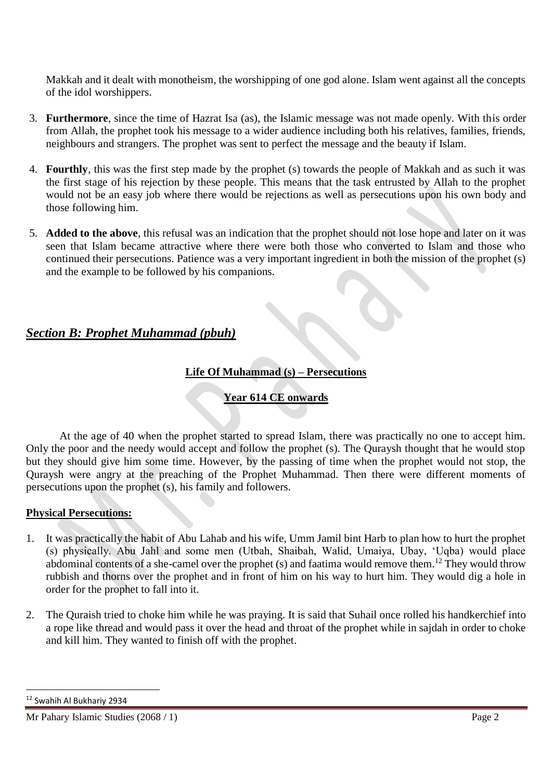Makkah and it dealt with monotheism, the worshipping of one god alone. Islam went against all the concepts of the idol worshippers.

- 3. **Furthermore**, since the time of Hazrat Isa (as), the Islamic message was not made openly. With this order from Allah, the prophet took his message to a wider audience including both his relatives, families, friends, neighbours and strangers. The prophet was sent to perfect the message and the beauty if Islam.
- 4. **Fourthly**, this was the first step made by the prophet (s) towards the people of Makkah and as such it was the first stage of his rejection by these people. This means that the task entrusted by Allah to the prophet would not be an easy job where there would be rejections as well as persecutions upon his own body and those following him.
- 5. **Added to the above**, this refusal was an indication that the prophet should not lose hope and later on it was seen that Islam became attractive where there were both those who converted to Islam and those who continued their persecutions. Patience was a very important ingredient in both the mission of the prophet (s) and the example to be followed by his companions.

## *Section B: Prophet Muhammad (pbuh)*

### **Life Of Muhammad (s) – Persecutions**

## **Year 614 CE onwards**

At the age of 40 when the prophet started to spread Islam, there was practically no one to accept him. Only the poor and the needy would accept and follow the prophet (s). The Quraysh thought that he would stop but they should give him some time. However, by the passing of time when the prophet would not stop, the Quraysh were angry at the preaching of the Prophet Muhammad. Then there were different moments of persecutions upon the prophet (s), his family and followers.

#### **Physical Persecutions:**

- 1. It was practically the habit of Abu Lahab and his wife, Umm Jamil bint Harb to plan how to hurt the prophet (s) physically. Abu Jahl and some men (Utbah, Shaibah, Walid, Umaiya, Ubay, 'Uqba) would place abdominal contents of a she-camel over the prophet (s) and faatima would remove them.<sup>12</sup> They would throw rubbish and thorns over the prophet and in front of him on his way to hurt him. They would dig a hole in order for the prophet to fall into it.
- 2. The Quraish tried to choke him while he was praying. It is said that Suhail once rolled his handkerchief into a rope like thread and would pass it over the head and throat of the prophet while in sajdah in order to choke and kill him. They wanted to finish off with the prophet.

<sup>12</sup> Swahih Al Bukhariy 2934

Mr Pahary Islamic Studies (2068 / 1) Page 2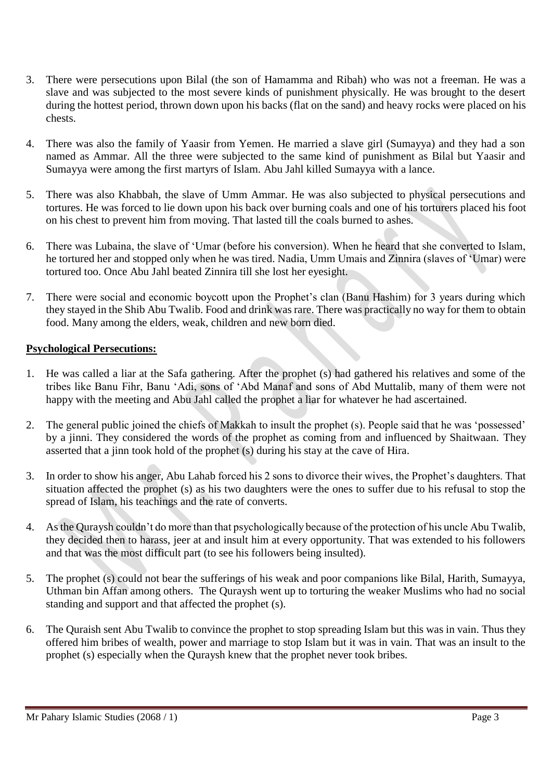- 3. There were persecutions upon Bilal (the son of Hamamma and Ribah) who was not a freeman. He was a slave and was subjected to the most severe kinds of punishment physically. He was brought to the desert during the hottest period, thrown down upon his backs (flat on the sand) and heavy rocks were placed on his chests.
- 4. There was also the family of Yaasir from Yemen. He married a slave girl (Sumayya) and they had a son named as Ammar. All the three were subjected to the same kind of punishment as Bilal but Yaasir and Sumayya were among the first martyrs of Islam. Abu Jahl killed Sumayya with a lance.
- 5. There was also Khabbah, the slave of Umm Ammar. He was also subjected to physical persecutions and tortures. He was forced to lie down upon his back over burning coals and one of his torturers placed his foot on his chest to prevent him from moving. That lasted till the coals burned to ashes.
- 6. There was Lubaina, the slave of 'Umar (before his conversion). When he heard that she converted to Islam, he tortured her and stopped only when he was tired. Nadia, Umm Umais and Zinnira (slaves of 'Umar) were tortured too. Once Abu Jahl beated Zinnira till she lost her eyesight.
- 7. There were social and economic boycott upon the Prophet's clan (Banu Hashim) for 3 years during which they stayed in the Shib Abu Twalib. Food and drink was rare. There was practically no way for them to obtain food. Many among the elders, weak, children and new born died.

#### **Psychological Persecutions:**

- 1. He was called a liar at the Safa gathering. After the prophet (s) had gathered his relatives and some of the tribes like Banu Fihr, Banu 'Adi, sons of 'Abd Manaf and sons of Abd Muttalib, many of them were not happy with the meeting and Abu Jahl called the prophet a liar for whatever he had ascertained.
- 2. The general public joined the chiefs of Makkah to insult the prophet (s). People said that he was 'possessed' by a jinni. They considered the words of the prophet as coming from and influenced by Shaitwaan. They asserted that a jinn took hold of the prophet (s) during his stay at the cave of Hira.
- 3. In order to show his anger, Abu Lahab forced his 2 sons to divorce their wives, the Prophet's daughters. That situation affected the prophet (s) as his two daughters were the ones to suffer due to his refusal to stop the spread of Islam, his teachings and the rate of converts.
- 4. As the Quraysh couldn't do more than that psychologically because of the protection of his uncle Abu Twalib, they decided then to harass, jeer at and insult him at every opportunity. That was extended to his followers and that was the most difficult part (to see his followers being insulted).
- 5. The prophet (s) could not bear the sufferings of his weak and poor companions like Bilal, Harith, Sumayya, Uthman bin Affan among others. The Quraysh went up to torturing the weaker Muslims who had no social standing and support and that affected the prophet (s).
- 6. The Quraish sent Abu Twalib to convince the prophet to stop spreading Islam but this was in vain. Thus they offered him bribes of wealth, power and marriage to stop Islam but it was in vain. That was an insult to the prophet (s) especially when the Quraysh knew that the prophet never took bribes.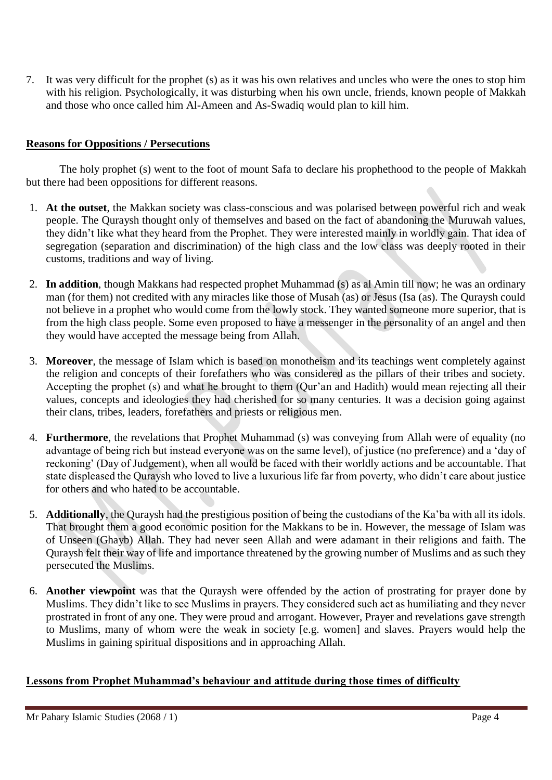7. It was very difficult for the prophet (s) as it was his own relatives and uncles who were the ones to stop him with his religion. Psychologically, it was disturbing when his own uncle, friends, known people of Makkah and those who once called him Al-Ameen and As-Swadiq would plan to kill him.

#### **Reasons for Oppositions / Persecutions**

The holy prophet (s) went to the foot of mount Safa to declare his prophethood to the people of Makkah but there had been oppositions for different reasons.

- 1. **At the outset**, the Makkan society was class-conscious and was polarised between powerful rich and weak people. The Quraysh thought only of themselves and based on the fact of abandoning the Muruwah values, they didn't like what they heard from the Prophet. They were interested mainly in worldly gain. That idea of segregation (separation and discrimination) of the high class and the low class was deeply rooted in their customs, traditions and way of living.
- 2. **In addition**, though Makkans had respected prophet Muhammad (s) as al Amin till now; he was an ordinary man (for them) not credited with any miracles like those of Musah (as) or Jesus (Isa (as). The Quraysh could not believe in a prophet who would come from the lowly stock. They wanted someone more superior, that is from the high class people. Some even proposed to have a messenger in the personality of an angel and then they would have accepted the message being from Allah.
- 3. **Moreover**, the message of Islam which is based on monotheism and its teachings went completely against the religion and concepts of their forefathers who was considered as the pillars of their tribes and society. Accepting the prophet (s) and what he brought to them (Qur'an and Hadith) would mean rejecting all their values, concepts and ideologies they had cherished for so many centuries. It was a decision going against their clans, tribes, leaders, forefathers and priests or religious men.
- 4. **Furthermore**, the revelations that Prophet Muhammad (s) was conveying from Allah were of equality (no advantage of being rich but instead everyone was on the same level), of justice (no preference) and a 'day of reckoning' (Day of Judgement), when all would be faced with their worldly actions and be accountable. That state displeased the Quraysh who loved to live a luxurious life far from poverty, who didn't care about justice for others and who hated to be accountable.
- 5. **Additionally**, the Quraysh had the prestigious position of being the custodians of the Ka'ba with all its idols. That brought them a good economic position for the Makkans to be in. However, the message of Islam was of Unseen (Ghayb) Allah. They had never seen Allah and were adamant in their religions and faith. The Quraysh felt their way of life and importance threatened by the growing number of Muslims and as such they persecuted the Muslims.
- 6. **Another viewpoint** was that the Quraysh were offended by the action of prostrating for prayer done by Muslims. They didn't like to see Muslims in prayers. They considered such act as humiliating and they never prostrated in front of any one. They were proud and arrogant. However, Prayer and revelations gave strength to Muslims, many of whom were the weak in society [e.g. women] and slaves. Prayers would help the Muslims in gaining spiritual dispositions and in approaching Allah.

#### **Lessons from Prophet Muhammad's behaviour and attitude during those times of difficulty**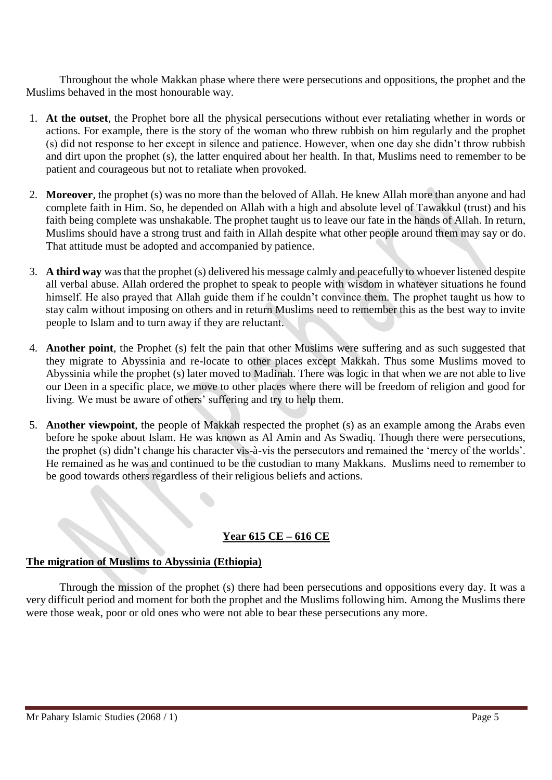Throughout the whole Makkan phase where there were persecutions and oppositions, the prophet and the Muslims behaved in the most honourable way.

- 1. **At the outset**, the Prophet bore all the physical persecutions without ever retaliating whether in words or actions. For example, there is the story of the woman who threw rubbish on him regularly and the prophet (s) did not response to her except in silence and patience. However, when one day she didn't throw rubbish and dirt upon the prophet (s), the latter enquired about her health. In that, Muslims need to remember to be patient and courageous but not to retaliate when provoked.
- 2. **Moreover**, the prophet (s) was no more than the beloved of Allah. He knew Allah more than anyone and had complete faith in Him. So, he depended on Allah with a high and absolute level of Tawakkul (trust) and his faith being complete was unshakable. The prophet taught us to leave our fate in the hands of Allah. In return, Muslims should have a strong trust and faith in Allah despite what other people around them may say or do. That attitude must be adopted and accompanied by patience.
- 3. **A third way** was that the prophet (s) delivered his message calmly and peacefully to whoever listened despite all verbal abuse. Allah ordered the prophet to speak to people with wisdom in whatever situations he found himself. He also prayed that Allah guide them if he couldn't convince them. The prophet taught us how to stay calm without imposing on others and in return Muslims need to remember this as the best way to invite people to Islam and to turn away if they are reluctant.
- 4. **Another point**, the Prophet (s) felt the pain that other Muslims were suffering and as such suggested that they migrate to Abyssinia and re-locate to other places except Makkah. Thus some Muslims moved to Abyssinia while the prophet (s) later moved to Madinah. There was logic in that when we are not able to live our Deen in a specific place, we move to other places where there will be freedom of religion and good for living. We must be aware of others' suffering and try to help them.
- 5. **Another viewpoint**, the people of Makkah respected the prophet (s) as an example among the Arabs even before he spoke about Islam. He was known as Al Amin and As Swadiq. Though there were persecutions, the prophet (s) didn't change his character vis-à-vis the persecutors and remained the 'mercy of the worlds'. He remained as he was and continued to be the custodian to many Makkans. Muslims need to remember to be good towards others regardless of their religious beliefs and actions.

## **Year 615 CE – 616 CE**

#### **The migration of Muslims to Abyssinia (Ethiopia)**

Through the mission of the prophet (s) there had been persecutions and oppositions every day. It was a very difficult period and moment for both the prophet and the Muslims following him. Among the Muslims there were those weak, poor or old ones who were not able to bear these persecutions any more.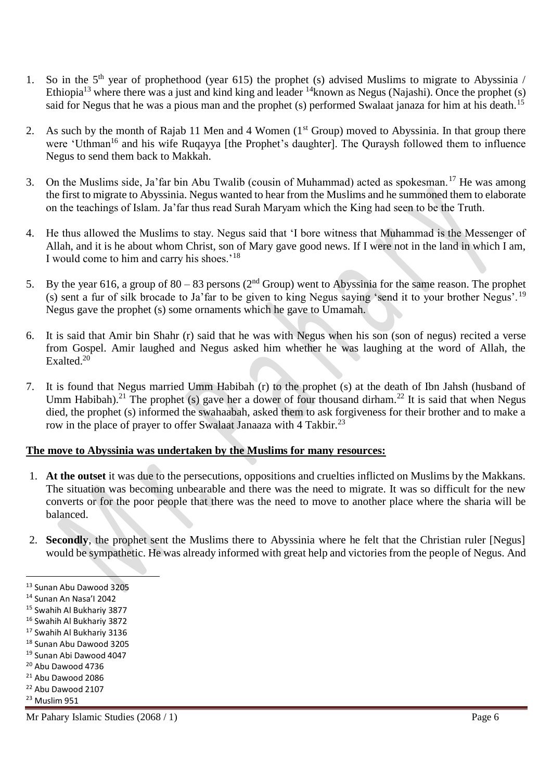- 1. So in the  $5<sup>th</sup>$  year of prophethood (year 615) the prophet (s) advised Muslims to migrate to Abyssinia / Ethiopia<sup>13</sup> where there was a just and kind king and leader <sup>14</sup>known as Negus (Najashi). Once the prophet (s) said for Negus that he was a pious man and the prophet (s) performed Swalaat janaza for him at his death.<sup>15</sup>
- 2. As such by the month of Rajab 11 Men and 4 Women (1<sup>st</sup> Group) moved to Abyssinia. In that group there were 'Uthman<sup>16</sup> and his wife Ruqayya [the Prophet's daughter]. The Quraysh followed them to influence Negus to send them back to Makkah.
- 3. On the Muslims side, Ja'far bin Abu Twalib (cousin of Muhammad) acted as spokesman.<sup>17</sup> He was among the first to migrate to Abyssinia. Negus wanted to hear from the Muslims and he summoned them to elaborate on the teachings of Islam. Ja'far thus read Surah Maryam which the King had seen to be the Truth.
- 4. He thus allowed the Muslims to stay. Negus said that 'I bore witness that Muhammad is the Messenger of Allah, and it is he about whom Christ, son of Mary gave good news. If I were not in the land in which I am, I would come to him and carry his shoes.'<sup>18</sup>
- 5. By the year 616, a group of  $80 83$  persons ( $2<sup>nd</sup>$  Group) went to Abyssinia for the same reason. The prophet (s) sent a fur of silk brocade to Ja'far to be given to king Negus saying 'send it to your brother Negus'.<sup>19</sup> Negus gave the prophet (s) some ornaments which he gave to Umamah.
- 6. It is said that Amir bin Shahr (r) said that he was with Negus when his son (son of negus) recited a verse from Gospel. Amir laughed and Negus asked him whether he was laughing at the word of Allah, the Exalted.<sup>20</sup>
- 7. It is found that Negus married Umm Habibah (r) to the prophet (s) at the death of Ibn Jahsh (husband of Umm Habibah).<sup>21</sup> The prophet (s) gave her a dower of four thousand dirham.<sup>22</sup> It is said that when Negus died, the prophet (s) informed the swahaabah, asked them to ask forgiveness for their brother and to make a row in the place of prayer to offer Swalaat Janaaza with 4 Takbir.<sup>23</sup>

#### **The move to Abyssinia was undertaken by the Muslims for many resources:**

- 1. **At the outset** it was due to the persecutions, oppositions and cruelties inflicted on Muslims by the Makkans. The situation was becoming unbearable and there was the need to migrate. It was so difficult for the new converts or for the poor people that there was the need to move to another place where the sharia will be balanced.
- 2. **Secondly**, the prophet sent the Muslims there to Abyssinia where he felt that the Christian ruler [Negus] would be sympathetic. He was already informed with great help and victories from the people of Negus. And

- $21$  Abu Dawood 2086
- <sup>22</sup> Abu Dawood 2107

<sup>13</sup> Sunan Abu Dawood 3205

<sup>14</sup> Sunan An Nasa'I 2042

<sup>15</sup> Swahih Al Bukhariy 3877

<sup>16</sup> Swahih Al Bukhariy 3872

<sup>17</sup> Swahih Al Bukhariy 3136

<sup>18</sup> Sunan Abu Dawood 3205

<sup>19</sup> Sunan Abi Dawood 4047

<sup>20</sup> Abu Dawood 4736

<sup>23</sup> Muslim 951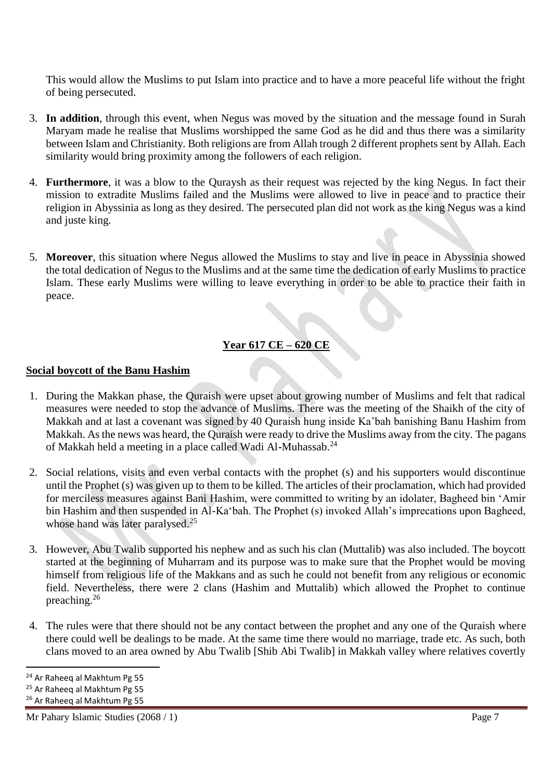This would allow the Muslims to put Islam into practice and to have a more peaceful life without the fright of being persecuted.

- 3. **In addition**, through this event, when Negus was moved by the situation and the message found in Surah Maryam made he realise that Muslims worshipped the same God as he did and thus there was a similarity between Islam and Christianity. Both religions are from Allah trough 2 different prophets sent by Allah. Each similarity would bring proximity among the followers of each religion.
- 4. **Furthermore**, it was a blow to the Quraysh as their request was rejected by the king Negus. In fact their mission to extradite Muslims failed and the Muslims were allowed to live in peace and to practice their religion in Abyssinia as long as they desired. The persecuted plan did not work as the king Negus was a kind and juste king.
- 5. **Moreover**, this situation where Negus allowed the Muslims to stay and live in peace in Abyssinia showed the total dedication of Negus to the Muslims and at the same time the dedication of early Muslims to practice Islam. These early Muslims were willing to leave everything in order to be able to practice their faith in peace.

## **Year 617 CE – 620 CE**

#### **Social boycott of the Banu Hashim**

- 1. During the Makkan phase, the Quraish were upset about growing number of Muslims and felt that radical measures were needed to stop the advance of Muslims. There was the meeting of the Shaikh of the city of Makkah and at last a covenant was signed by 40 Quraish hung inside Ka'bah banishing Banu Hashim from Makkah. As the news was heard, the Quraish were ready to drive the Muslims away from the city. The pagans of Makkah held a meeting in a place called Wadi Al-Muhassab.<sup>24</sup>
- 2. Social relations, visits and even verbal contacts with the prophet (s) and his supporters would discontinue until the Prophet (s) was given up to them to be killed. The articles of their proclamation, which had provided for merciless measures against Bani Hashim, were committed to writing by an idolater, Bagheed bin 'Amir bin Hashim and then suspended in Al-Ka'bah. The Prophet (s) invoked Allah's imprecations upon Bagheed, whose hand was later paralysed.<sup>25</sup>
- 3. However, Abu Twalib supported his nephew and as such his clan (Muttalib) was also included. The boycott started at the beginning of Muharram and its purpose was to make sure that the Prophet would be moving himself from religious life of the Makkans and as such he could not benefit from any religious or economic field. Nevertheless, there were 2 clans (Hashim and Muttalib) which allowed the Prophet to continue preaching.<sup>26</sup>
- 4. The rules were that there should not be any contact between the prophet and any one of the Quraish where there could well be dealings to be made. At the same time there would no marriage, trade etc. As such, both clans moved to an area owned by Abu Twalib [Shib Abi Twalib] in Makkah valley where relatives covertly

 $\overline{a}$ <sup>24</sup> Ar Raheeq al Makhtum Pg 55

<sup>&</sup>lt;sup>25</sup> Ar Raheeq al Makhtum Pg 55

<sup>26</sup> Ar Raheeq al Makhtum Pg 55

Mr Pahary Islamic Studies (2068 / 1) Page 7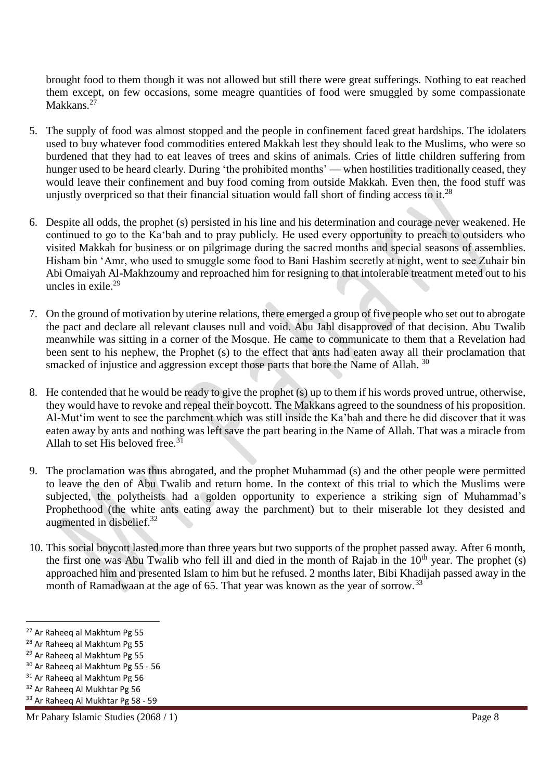brought food to them though it was not allowed but still there were great sufferings. Nothing to eat reached them except, on few occasions, some meagre quantities of food were smuggled by some compassionate Makkans.<sup>27</sup>

- 5. The supply of food was almost stopped and the people in confinement faced great hardships. The idolaters used to buy whatever food commodities entered Makkah lest they should leak to the Muslims, who were so burdened that they had to eat leaves of trees and skins of animals. Cries of little children suffering from hunger used to be heard clearly. During 'the prohibited months' — when hostilities traditionally ceased, they would leave their confinement and buy food coming from outside Makkah. Even then, the food stuff was unjustly overpriced so that their financial situation would fall short of finding access to it.<sup>28</sup>
- 6. Despite all odds, the prophet (s) persisted in his line and his determination and courage never weakened. He continued to go to the Ka'bah and to pray publicly. He used every opportunity to preach to outsiders who visited Makkah for business or on pilgrimage during the sacred months and special seasons of assemblies. Hisham bin 'Amr, who used to smuggle some food to Bani Hashim secretly at night, went to see Zuhair bin Abi Omaiyah Al-Makhzoumy and reproached him for resigning to that intolerable treatment meted out to his uncles in exile  $^{29}$
- 7. On the ground of motivation by uterine relations, there emerged a group of five people who set out to abrogate the pact and declare all relevant clauses null and void. Abu Jahl disapproved of that decision. Abu Twalib meanwhile was sitting in a corner of the Mosque. He came to communicate to them that a Revelation had been sent to his nephew, the Prophet (s) to the effect that ants had eaten away all their proclamation that smacked of injustice and aggression except those parts that bore the Name of Allah.<sup>30</sup>
- 8. He contended that he would be ready to give the prophet (s) up to them if his words proved untrue, otherwise, they would have to revoke and repeal their boycott. The Makkans agreed to the soundness of his proposition. Al-Mut'im went to see the parchment which was still inside the Ka'bah and there he did discover that it was eaten away by ants and nothing was left save the part bearing in the Name of Allah. That was a miracle from Allah to set His beloved free.  $31$
- 9. The proclamation was thus abrogated, and the prophet Muhammad (s) and the other people were permitted to leave the den of Abu Twalib and return home. In the context of this trial to which the Muslims were subjected, the polytheists had a golden opportunity to experience a striking sign of Muhammad's Prophethood (the white ants eating away the parchment) but to their miserable lot they desisted and augmented in disbelief.<sup>32</sup>
- 10. This social boycott lasted more than three years but two supports of the prophet passed away. After 6 month, the first one was Abu Twalib who fell ill and died in the month of Rajab in the  $10<sup>th</sup>$  year. The prophet (s) approached him and presented Islam to him but he refused. 2 months later, Bibi Khadijah passed away in the month of Ramadwaan at the age of 65. That year was known as the year of sorrow.<sup>33</sup>

l

<sup>27</sup> Ar Raheeq al Makhtum Pg 55

<sup>28</sup> Ar Raheeq al Makhtum Pg 55

<sup>29</sup> Ar Raheeq al Makhtum Pg 55

<sup>30</sup> Ar Raheeq al Makhtum Pg 55 - 56

<sup>&</sup>lt;sup>31</sup> Ar Raheeq al Makhtum Pg 56

<sup>32</sup> Ar Raheeq Al Mukhtar Pg 56

<sup>33</sup> Ar Raheeq Al Mukhtar Pg 58 - 59

Mr Pahary Islamic Studies (2068 / 1) Page 8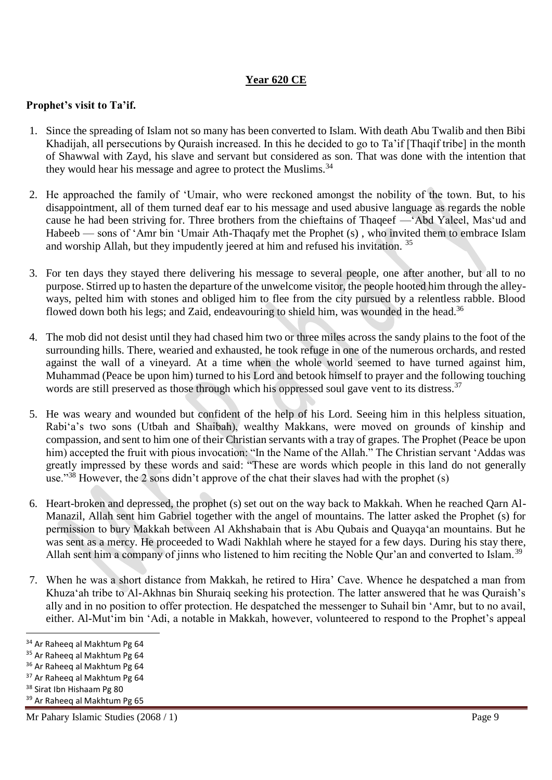### **Year 620 CE**

#### **Prophet's visit to Ta'if.**

- 1. Since the spreading of Islam not so many has been converted to Islam. With death Abu Twalib and then Bibi Khadijah, all persecutions by Quraish increased. In this he decided to go to Ta'if [Thaqif tribe] in the month of Shawwal with Zayd, his slave and servant but considered as son. That was done with the intention that they would hear his message and agree to protect the Muslims.<sup>34</sup>
- 2. He approached the family of 'Umair, who were reckoned amongst the nobility of the town. But, to his disappointment, all of them turned deaf ear to his message and used abusive language as regards the noble cause he had been striving for. Three brothers from the chieftains of Thaqeef —'Abd Yaleel, Mas'ud and Habeeb — sons of 'Amr bin 'Umair Ath-Thaqafy met the Prophet (s) , who invited them to embrace Islam and worship Allah, but they impudently jeered at him and refused his invitation.<sup>35</sup>
- 3. For ten days they stayed there delivering his message to several people, one after another, but all to no purpose. Stirred up to hasten the departure of the unwelcome visitor, the people hooted him through the alleyways, pelted him with stones and obliged him to flee from the city pursued by a relentless rabble. Blood flowed down both his legs; and Zaid, endeavouring to shield him, was wounded in the head.<sup>36</sup>
- 4. The mob did not desist until they had chased him two or three miles across the sandy plains to the foot of the surrounding hills. There, wearied and exhausted, he took refuge in one of the numerous orchards, and rested against the wall of a vineyard. At a time when the whole world seemed to have turned against him, Muhammad (Peace be upon him) turned to his Lord and betook himself to prayer and the following touching words are still preserved as those through which his oppressed soul gave vent to its distress.<sup>37</sup>
- 5. He was weary and wounded but confident of the help of his Lord. Seeing him in this helpless situation, Rabi'a's two sons (Utbah and Shaibah), wealthy Makkans, were moved on grounds of kinship and compassion, and sent to him one of their Christian servants with a tray of grapes. The Prophet (Peace be upon him) accepted the fruit with pious invocation: "In the Name of the Allah." The Christian servant 'Addas was greatly impressed by these words and said: "These are words which people in this land do not generally use."<sup>38</sup> However, the 2 sons didn't approve of the chat their slaves had with the prophet (s)
- 6. Heart-broken and depressed, the prophet (s) set out on the way back to Makkah. When he reached Qarn Al-Manazil, Allah sent him Gabriel together with the angel of mountains. The latter asked the Prophet (s) for permission to bury Makkah between Al Akhshabain that is Abu Qubais and Quayqa'an mountains. But he was sent as a mercy. He proceeded to Wadi Nakhlah where he stayed for a few days. During his stay there, Allah sent him a company of jinns who listened to him reciting the Noble Qur'an and converted to Islam.<sup>39</sup>
- 7. When he was a short distance from Makkah, he retired to Hira' Cave. Whence he despatched a man from Khuza'ah tribe to Al-Akhnas bin Shuraiq seeking his protection. The latter answered that he was Quraish's ally and in no position to offer protection. He despatched the messenger to Suhail bin 'Amr, but to no avail, either. Al-Mut'im bin 'Adi, a notable in Makkah, however, volunteered to respond to the Prophet's appeal

<sup>34</sup> Ar Raheeq al Makhtum Pg 64

<sup>35</sup> Ar Raheeq al Makhtum Pg 64

<sup>36</sup> Ar Raheeq al Makhtum Pg 64

<sup>&</sup>lt;sup>37</sup> Ar Raheeq al Makhtum Pg 64

<sup>&</sup>lt;sup>38</sup> Sirat Ibn Hishaam Pg 80

<sup>39</sup> Ar Raheeq al Makhtum Pg 65

Mr Pahary Islamic Studies (2068 / 1) Page 9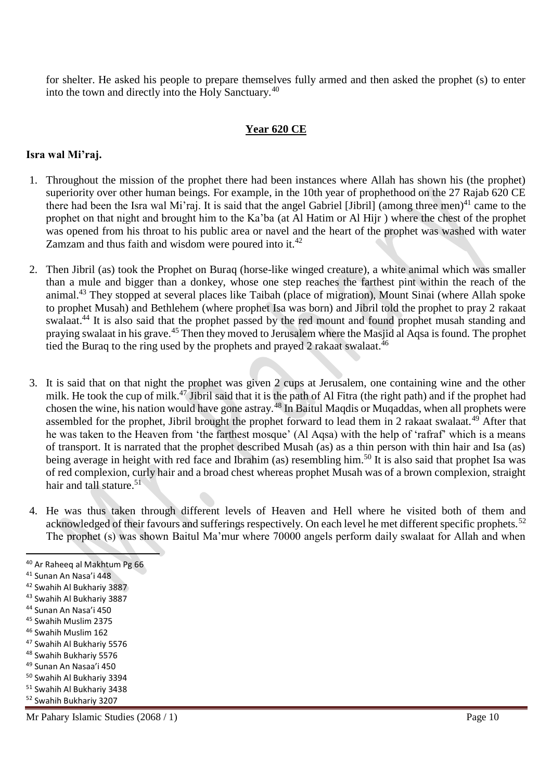for shelter. He asked his people to prepare themselves fully armed and then asked the prophet (s) to enter into the town and directly into the Holy Sanctuary.<sup>40</sup>

#### **Year 620 CE**

#### **Isra wal Mi'raj.**

- 1. Throughout the mission of the prophet there had been instances where Allah has shown his (the prophet) superiority over other human beings. For example, in the 10th year of prophethood on the 27 Rajab 620 CE there had been the Isra wal Mi'raj. It is said that the angel Gabriel [Jibril] (among three men)<sup>41</sup> came to the prophet on that night and brought him to the Ka'ba (at Al Hatim or Al Hijr ) where the chest of the prophet was opened from his throat to his public area or navel and the heart of the prophet was washed with water Zamzam and thus faith and wisdom were poured into it. $42$
- 2. Then Jibril (as) took the Prophet on Buraq (horse-like winged creature), a white animal which was smaller than a mule and bigger than a donkey, whose one step reaches the farthest pint within the reach of the animal.<sup>43</sup> They stopped at several places like Taibah (place of migration), Mount Sinai (where Allah spoke to prophet Musah) and Bethlehem (where prophet Isa was born) and Jibril told the prophet to pray 2 rakaat swalaat.<sup>44</sup> It is also said that the prophet passed by the red mount and found prophet musah standing and praying swalaat in his grave.<sup>45</sup> Then they moved to Jerusalem where the Masjid al Aqsa is found. The prophet tied the Buraq to the ring used by the prophets and prayed 2 rakaat swalaat.<sup>46</sup>
- 3. It is said that on that night the prophet was given 2 cups at Jerusalem, one containing wine and the other milk. He took the cup of milk.<sup>47</sup> Jibril said that it is the path of Al Fitra (the right path) and if the prophet had chosen the wine, his nation would have gone astray.<sup>48</sup> In Baitul Maqdis or Muqaddas, when all prophets were assembled for the prophet, Jibril brought the prophet forward to lead them in 2 rakaat swalaat.<sup>49</sup> After that he was taken to the Heaven from 'the farthest mosque' (Al Aqsa) with the help of 'rafraf' which is a means of transport. It is narrated that the prophet described Musah (as) as a thin person with thin hair and Isa (as) being average in height with red face and Ibrahim (as) resembling him.<sup>50</sup> It is also said that prophet Isa was of red complexion, curly hair and a broad chest whereas prophet Musah was of a brown complexion, straight hair and tall stature.<sup>51</sup>
- 4. He was thus taken through different levels of Heaven and Hell where he visited both of them and acknowledged of their favours and sufferings respectively. On each level he met different specific prophets.<sup>52</sup> The prophet (s) was shown Baitul Ma'mur where 70000 angels perform daily swalaat for Allah and when

<sup>&</sup>lt;sup>40</sup> Ar Raheeq al Makhtum Pg 66

<sup>41</sup> Sunan An Nasa'i 448

<sup>42</sup> Swahih Al Bukhariy 3887

<sup>43</sup> Swahih Al Bukhariy 3887

<sup>44</sup> Sunan An Nasa'i 450

<sup>45</sup> Swahih Muslim 2375

<sup>46</sup> Swahih Muslim 162

<sup>47</sup> Swahih Al Bukhariy 5576

<sup>48</sup> Swahih Bukhariy 5576

<sup>49</sup> Sunan An Nasaa'i 450

<sup>50</sup> Swahih Al Bukhariy 3394

<sup>51</sup> Swahih Al Bukhariy 3438

<sup>52</sup> Swahih Bukhariy 3207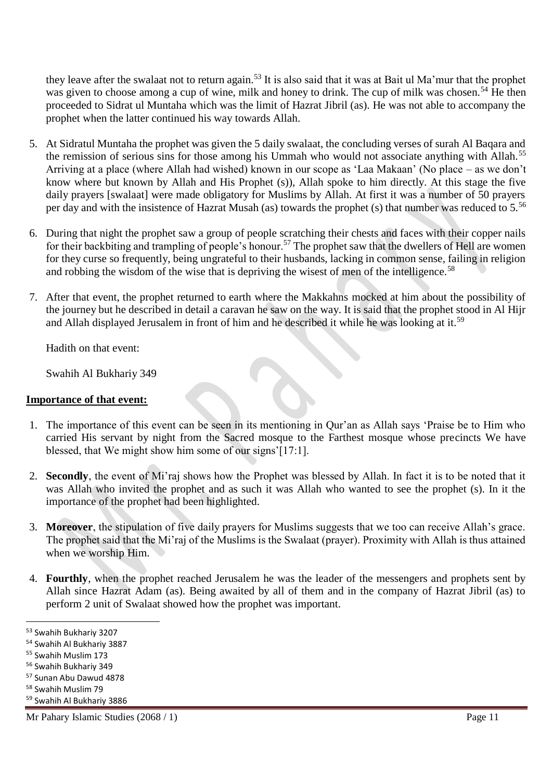they leave after the swalaat not to return again.<sup>53</sup> It is also said that it was at Bait ul Ma'mur that the prophet was given to choose among a cup of wine, milk and honey to drink. The cup of milk was chosen.<sup>54</sup> He then proceeded to Sidrat ul Muntaha which was the limit of Hazrat Jibril (as). He was not able to accompany the prophet when the latter continued his way towards Allah.

- 5. At Sidratul Muntaha the prophet was given the 5 daily swalaat, the concluding verses of surah Al Baqara and the remission of serious sins for those among his Ummah who would not associate anything with Allah.<sup>55</sup> Arriving at a place (where Allah had wished) known in our scope as 'Laa Makaan' (No place – as we don't know where but known by Allah and His Prophet (s)), Allah spoke to him directly. At this stage the five daily prayers [swalaat] were made obligatory for Muslims by Allah. At first it was a number of 50 prayers per day and with the insistence of Hazrat Musah (as) towards the prophet (s) that number was reduced to 5.<sup>56</sup>
- 6. During that night the prophet saw a group of people scratching their chests and faces with their copper nails for their backbiting and trampling of people's honour.<sup>57</sup> The prophet saw that the dwellers of Hell are women for they curse so frequently, being ungrateful to their husbands, lacking in common sense, failing in religion and robbing the wisdom of the wise that is depriving the wisest of men of the intelligence.<sup>58</sup>
- 7. After that event, the prophet returned to earth where the Makkahns mocked at him about the possibility of the journey but he described in detail a caravan he saw on the way. It is said that the prophet stood in Al Hijr and Allah displayed Jerusalem in front of him and he described it while he was looking at it.<sup>59</sup>

Hadith on that event:

Swahih Al Bukhariy 349

#### **Importance of that event:**

- 1. The importance of this event can be seen in its mentioning in Qur'an as Allah says 'Praise be to Him who carried His servant by night from the Sacred mosque to the Farthest mosque whose precincts We have blessed, that We might show him some of our signs'[17:1].
- 2. **Secondly**, the event of Mi'raj shows how the Prophet was blessed by Allah. In fact it is to be noted that it was Allah who invited the prophet and as such it was Allah who wanted to see the prophet (s). In it the importance of the prophet had been highlighted.
- 3. **Moreover**, the stipulation of five daily prayers for Muslims suggests that we too can receive Allah's grace. The prophet said that the Mi'raj of the Muslims is the Swalaat (prayer). Proximity with Allah is thus attained when we worship Him.
- 4. **Fourthly**, when the prophet reached Jerusalem he was the leader of the messengers and prophets sent by Allah since Hazrat Adam (as). Being awaited by all of them and in the company of Hazrat Jibril (as) to perform 2 unit of Swalaat showed how the prophet was important.

l

<sup>58</sup> Swahih Muslim 79

Mr Pahary Islamic Studies (2068 / 1) Page 11

<sup>53</sup> Swahih Bukhariy 3207

<sup>54</sup> Swahih Al Bukhariy 3887

<sup>55</sup> Swahih Muslim 173

<sup>56</sup> Swahih Bukhariy 349

<sup>57</sup> Sunan Abu Dawud 4878

<sup>59</sup> Swahih Al Bukhariy 3886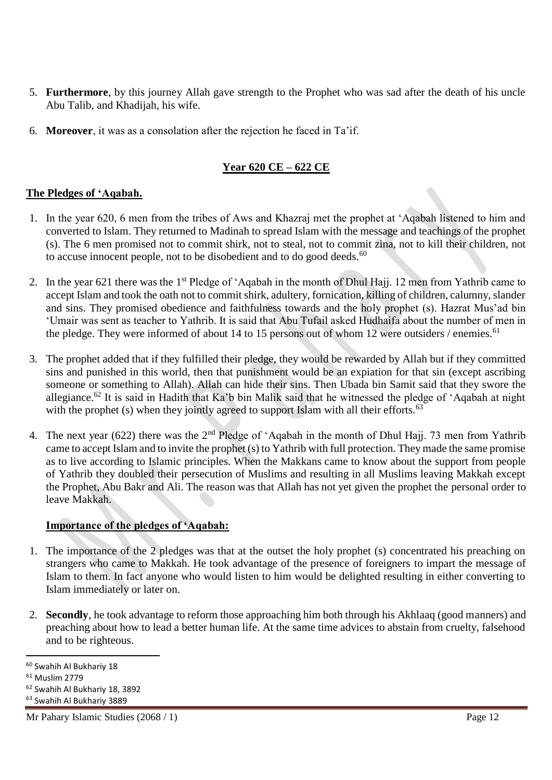- 5. **Furthermore**, by this journey Allah gave strength to the Prophet who was sad after the death of his uncle Abu Talib, and Khadijah, his wife.
- 6. **Moreover**, it was as a consolation after the rejection he faced in Ta'if.

## **Year 620 CE – 622 CE**

#### **The Pledges of 'Aqabah.**

- 1. In the year 620, 6 men from the tribes of Aws and Khazraj met the prophet at 'Aqabah listened to him and converted to Islam. They returned to Madinah to spread Islam with the message and teachings of the prophet (s). The 6 men promised not to commit shirk, not to steal, not to commit zina, not to kill their children, not to accuse innocent people, not to be disobedient and to do good deeds. $60$
- 2. In the year 621 there was the 1<sup>st</sup> Pledge of 'Aqabah in the month of Dhul Hajj. 12 men from Yathrib came to accept Islam and took the oath not to commit shirk, adultery, fornication, killing of children, calumny, slander and sins. They promised obedience and faithfulness towards and the holy prophet (s). Hazrat Mus'ad bin 'Umair was sent as teacher to Yathrib. It is said that Abu Tufail asked Hudhaifa about the number of men in the pledge. They were informed of about 14 to 15 persons out of whom 12 were outsiders / enemies.<sup>61</sup>
- 3. The prophet added that if they fulfilled their pledge, they would be rewarded by Allah but if they committed sins and punished in this world, then that punishment would be an expiation for that sin (except ascribing someone or something to Allah). Allah can hide their sins. Then Ubada bin Samit said that they swore the allegiance.<sup>62</sup> It is said in Hadith that Ka'b bin Malik said that he witnessed the pledge of 'Aqabah at night with the prophet (s) when they jointly agreed to support Islam with all their efforts.<sup>63</sup>
- 4. The next year (622) there was the 2<sup>nd</sup> Pledge of 'Aqabah in the month of Dhul Hajj. 73 men from Yathrib came to accept Islam and to invite the prophet (s) to Yathrib with full protection. They made the same promise as to live according to Islamic principles. When the Makkans came to know about the support from people of Yathrib they doubled their persecution of Muslims and resulting in all Muslims leaving Makkah except the Prophet, Abu Bakr and Ali. The reason was that Allah has not yet given the prophet the personal order to leave Makkah.

#### **Importance of the pledges of 'Aqabah:**

- 1. The importance of the 2 pledges was that at the outset the holy prophet (s) concentrated his preaching on strangers who came to Makkah. He took advantage of the presence of foreigners to impart the message of Islam to them. In fact anyone who would listen to him would be delighted resulting in either converting to Islam immediately or later on.
- 2. **Secondly**, he took advantage to reform those approaching him both through his Akhlaaq (good manners) and preaching about how to lead a better human life. At the same time advices to abstain from cruelty, falsehood and to be righteous.

l

<sup>60</sup> Swahih Al Bukhariy 18

<sup>61</sup> Muslim 2779

<sup>62</sup> Swahih Al Bukhariy 18, 3892

<sup>63</sup> Swahih Al Bukhariy 3889

Mr Pahary Islamic Studies (2068 / 1) Page 12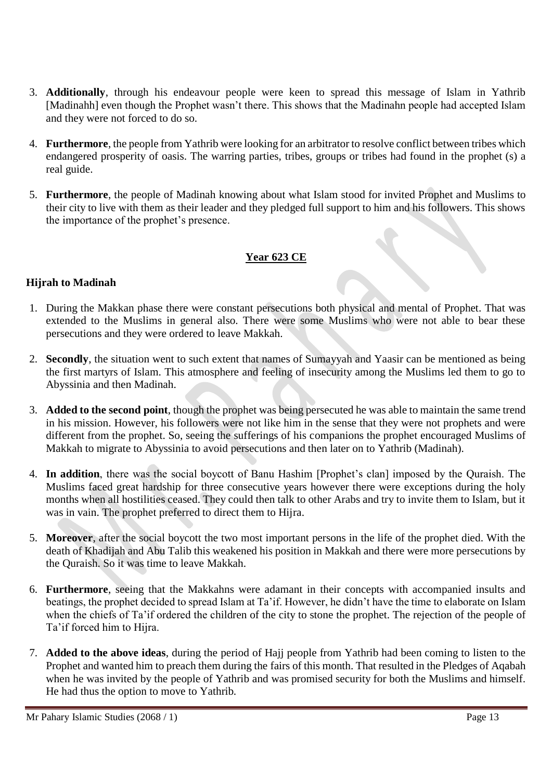- 3. **Additionally**, through his endeavour people were keen to spread this message of Islam in Yathrib [Madinahh] even though the Prophet wasn't there. This shows that the Madinahn people had accepted Islam and they were not forced to do so.
- 4. **Furthermore**, the people from Yathrib were looking for an arbitrator to resolve conflict between tribes which endangered prosperity of oasis. The warring parties, tribes, groups or tribes had found in the prophet (s) a real guide.
- 5. **Furthermore**, the people of Madinah knowing about what Islam stood for invited Prophet and Muslims to their city to live with them as their leader and they pledged full support to him and his followers. This shows the importance of the prophet's presence.

## **Year 623 CE**

### **Hijrah to Madinah**

- 1. During the Makkan phase there were constant persecutions both physical and mental of Prophet. That was extended to the Muslims in general also. There were some Muslims who were not able to bear these persecutions and they were ordered to leave Makkah.
- 2. **Secondly**, the situation went to such extent that names of Sumayyah and Yaasir can be mentioned as being the first martyrs of Islam. This atmosphere and feeling of insecurity among the Muslims led them to go to Abyssinia and then Madinah.
- 3. **Added to the second point**, though the prophet was being persecuted he was able to maintain the same trend in his mission. However, his followers were not like him in the sense that they were not prophets and were different from the prophet. So, seeing the sufferings of his companions the prophet encouraged Muslims of Makkah to migrate to Abyssinia to avoid persecutions and then later on to Yathrib (Madinah).
- 4. **In addition**, there was the social boycott of Banu Hashim [Prophet's clan] imposed by the Quraish. The Muslims faced great hardship for three consecutive years however there were exceptions during the holy months when all hostilities ceased. They could then talk to other Arabs and try to invite them to Islam, but it was in vain. The prophet preferred to direct them to Hijra.
- 5. **Moreover**, after the social boycott the two most important persons in the life of the prophet died. With the death of Khadijah and Abu Talib this weakened his position in Makkah and there were more persecutions by the Quraish. So it was time to leave Makkah.
- 6. **Furthermore**, seeing that the Makkahns were adamant in their concepts with accompanied insults and beatings, the prophet decided to spread Islam at Ta'if. However, he didn't have the time to elaborate on Islam when the chiefs of Ta'if ordered the children of the city to stone the prophet. The rejection of the people of Ta'if forced him to Hijra.
- 7. **Added to the above ideas**, during the period of Hajj people from Yathrib had been coming to listen to the Prophet and wanted him to preach them during the fairs of this month. That resulted in the Pledges of Aqabah when he was invited by the people of Yathrib and was promised security for both the Muslims and himself. He had thus the option to move to Yathrib.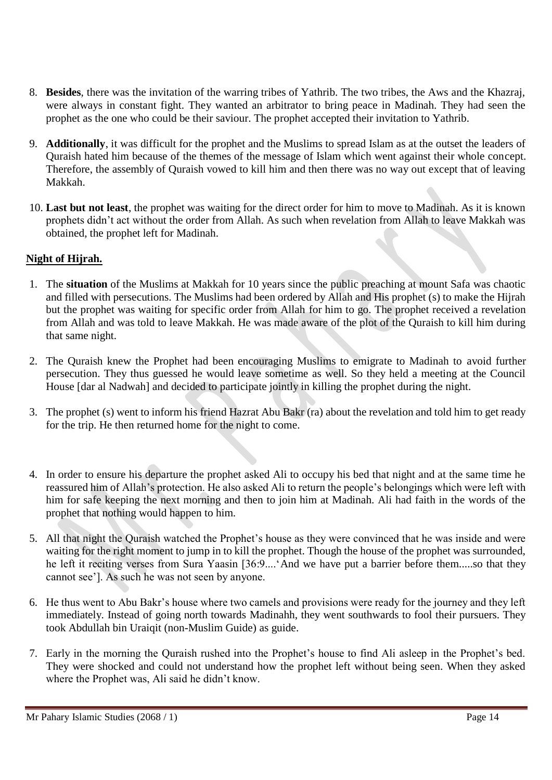- 8. **Besides**, there was the invitation of the warring tribes of Yathrib. The two tribes, the Aws and the Khazraj, were always in constant fight. They wanted an arbitrator to bring peace in Madinah. They had seen the prophet as the one who could be their saviour. The prophet accepted their invitation to Yathrib.
- 9. **Additionally**, it was difficult for the prophet and the Muslims to spread Islam as at the outset the leaders of Quraish hated him because of the themes of the message of Islam which went against their whole concept. Therefore, the assembly of Quraish vowed to kill him and then there was no way out except that of leaving Makkah.
- 10. **Last but not least**, the prophet was waiting for the direct order for him to move to Madinah. As it is known prophets didn't act without the order from Allah. As such when revelation from Allah to leave Makkah was obtained, the prophet left for Madinah.

### **Night of Hijrah.**

- 1. The **situation** of the Muslims at Makkah for 10 years since the public preaching at mount Safa was chaotic and filled with persecutions. The Muslims had been ordered by Allah and His prophet (s) to make the Hijrah but the prophet was waiting for specific order from Allah for him to go. The prophet received a revelation from Allah and was told to leave Makkah. He was made aware of the plot of the Quraish to kill him during that same night.
- 2. The Quraish knew the Prophet had been encouraging Muslims to emigrate to Madinah to avoid further persecution. They thus guessed he would leave sometime as well. So they held a meeting at the Council House [dar al Nadwah] and decided to participate jointly in killing the prophet during the night.
- 3. The prophet (s) went to inform his friend Hazrat Abu Bakr (ra) about the revelation and told him to get ready for the trip. He then returned home for the night to come.
- 4. In order to ensure his departure the prophet asked Ali to occupy his bed that night and at the same time he reassured him of Allah's protection. He also asked Ali to return the people's belongings which were left with him for safe keeping the next morning and then to join him at Madinah. Ali had faith in the words of the prophet that nothing would happen to him.
- 5. All that night the Quraish watched the Prophet's house as they were convinced that he was inside and were waiting for the right moment to jump in to kill the prophet. Though the house of the prophet was surrounded, he left it reciting verses from Sura Yaasin [36:9....'And we have put a barrier before them.....so that they cannot see']. As such he was not seen by anyone.
- 6. He thus went to Abu Bakr's house where two camels and provisions were ready for the journey and they left immediately. Instead of going north towards Madinahh, they went southwards to fool their pursuers. They took Abdullah bin Uraiqit (non-Muslim Guide) as guide.
- 7. Early in the morning the Quraish rushed into the Prophet's house to find Ali asleep in the Prophet's bed. They were shocked and could not understand how the prophet left without being seen. When they asked where the Prophet was, Ali said he didn't know.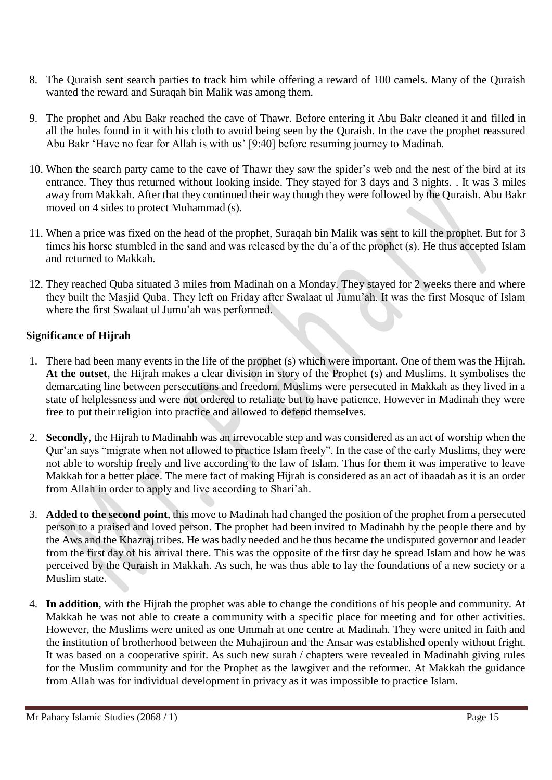- 8. The Quraish sent search parties to track him while offering a reward of 100 camels. Many of the Quraish wanted the reward and Suraqah bin Malik was among them.
- 9. The prophet and Abu Bakr reached the cave of Thawr. Before entering it Abu Bakr cleaned it and filled in all the holes found in it with his cloth to avoid being seen by the Quraish. In the cave the prophet reassured Abu Bakr 'Have no fear for Allah is with us' [9:40] before resuming journey to Madinah.
- 10. When the search party came to the cave of Thawr they saw the spider's web and the nest of the bird at its entrance. They thus returned without looking inside. They stayed for 3 days and 3 nights. . It was 3 miles away from Makkah. After that they continued their way though they were followed by the Quraish. Abu Bakr moved on 4 sides to protect Muhammad (s).
- 11. When a price was fixed on the head of the prophet, Suraqah bin Malik was sent to kill the prophet. But for 3 times his horse stumbled in the sand and was released by the du'a of the prophet (s). He thus accepted Islam and returned to Makkah.
- 12. They reached Quba situated 3 miles from Madinah on a Monday. They stayed for 2 weeks there and where they built the Masjid Quba. They left on Friday after Swalaat ul Jumu'ah. It was the first Mosque of Islam where the first Swalaat ul Jumu'ah was performed.

### **Significance of Hijrah**

- 1. There had been many events in the life of the prophet (s) which were important. One of them was the Hijrah. **At the outset**, the Hijrah makes a clear division in story of the Prophet (s) and Muslims. It symbolises the demarcating line between persecutions and freedom. Muslims were persecuted in Makkah as they lived in a state of helplessness and were not ordered to retaliate but to have patience. However in Madinah they were free to put their religion into practice and allowed to defend themselves.
- 2. **Secondly**, the Hijrah to Madinahh was an irrevocable step and was considered as an act of worship when the Qur'an says "migrate when not allowed to practice Islam freely". In the case of the early Muslims, they were not able to worship freely and live according to the law of Islam. Thus for them it was imperative to leave Makkah for a better place. The mere fact of making Hijrah is considered as an act of ibaadah as it is an order from Allah in order to apply and live according to Shari'ah.
- 3. **Added to the second point**, this move to Madinah had changed the position of the prophet from a persecuted person to a praised and loved person. The prophet had been invited to Madinahh by the people there and by the Aws and the Khazraj tribes. He was badly needed and he thus became the undisputed governor and leader from the first day of his arrival there. This was the opposite of the first day he spread Islam and how he was perceived by the Quraish in Makkah. As such, he was thus able to lay the foundations of a new society or a Muslim state.
- 4. **In addition**, with the Hijrah the prophet was able to change the conditions of his people and community. At Makkah he was not able to create a community with a specific place for meeting and for other activities. However, the Muslims were united as one Ummah at one centre at Madinah. They were united in faith and the institution of brotherhood between the Muhajiroun and the Ansar was established openly without fright. It was based on a cooperative spirit. As such new surah / chapters were revealed in Madinahh giving rules for the Muslim community and for the Prophet as the lawgiver and the reformer. At Makkah the guidance from Allah was for individual development in privacy as it was impossible to practice Islam.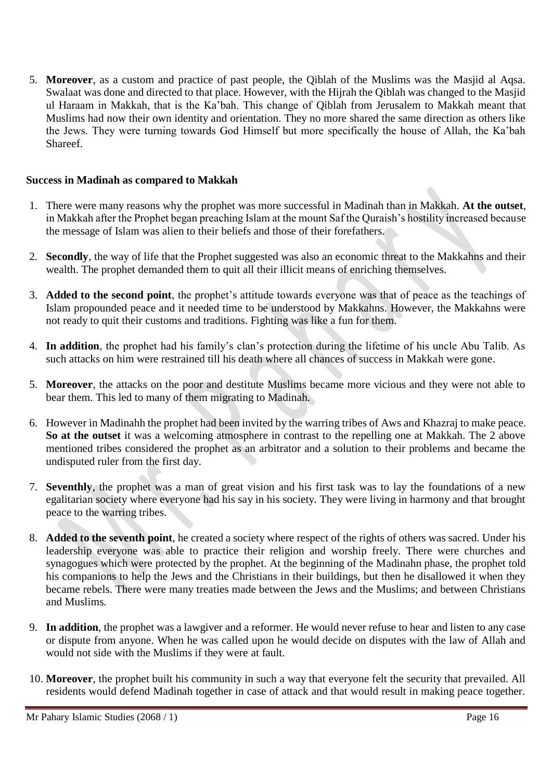5. **Moreover**, as a custom and practice of past people, the Qiblah of the Muslims was the Masjid al Aqsa. Swalaat was done and directed to that place. However, with the Hijrah the Qiblah was changed to the Masjid ul Haraam in Makkah, that is the Ka'bah. This change of Qiblah from Jerusalem to Makkah meant that Muslims had now their own identity and orientation. They no more shared the same direction as others like the Jews. They were turning towards God Himself but more specifically the house of Allah, the Ka'bah Shareef.

#### **Success in Madinah as compared to Makkah**

- 1. There were many reasons why the prophet was more successful in Madinah than in Makkah. **At the outset**, in Makkah after the Prophet began preaching Islam at the mount Saf the Quraish's hostility increased because the message of Islam was alien to their beliefs and those of their forefathers.
- 2. **Secondly**, the way of life that the Prophet suggested was also an economic threat to the Makkahns and their wealth. The prophet demanded them to quit all their illicit means of enriching themselves.
- 3. **Added to the second point**, the prophet's attitude towards everyone was that of peace as the teachings of Islam propounded peace and it needed time to be understood by Makkahns. However, the Makkahns were not ready to quit their customs and traditions. Fighting was like a fun for them.
- 4. **In addition**, the prophet had his family's clan's protection during the lifetime of his uncle Abu Talib. As such attacks on him were restrained till his death where all chances of success in Makkah were gone.
- 5. **Moreover**, the attacks on the poor and destitute Muslims became more vicious and they were not able to bear them. This led to many of them migrating to Madinah.
- 6. However in Madinahh the prophet had been invited by the warring tribes of Aws and Khazraj to make peace. **So at the outset** it was a welcoming atmosphere in contrast to the repelling one at Makkah. The 2 above mentioned tribes considered the prophet as an arbitrator and a solution to their problems and became the undisputed ruler from the first day.
- 7. **Seventhly**, the prophet was a man of great vision and his first task was to lay the foundations of a new egalitarian society where everyone had his say in his society. They were living in harmony and that brought peace to the warring tribes.
- 8. **Added to the seventh point**, he created a society where respect of the rights of others was sacred. Under his leadership everyone was able to practice their religion and worship freely. There were churches and synagogues which were protected by the prophet. At the beginning of the Madinahn phase, the prophet told his companions to help the Jews and the Christians in their buildings, but then he disallowed it when they became rebels. There were many treaties made between the Jews and the Muslims; and between Christians and Muslims.
- 9. **In addition**, the prophet was a lawgiver and a reformer. He would never refuse to hear and listen to any case or dispute from anyone. When he was called upon he would decide on disputes with the law of Allah and would not side with the Muslims if they were at fault.
- 10. **Moreover**, the prophet built his community in such a way that everyone felt the security that prevailed. All residents would defend Madinah together in case of attack and that would result in making peace together.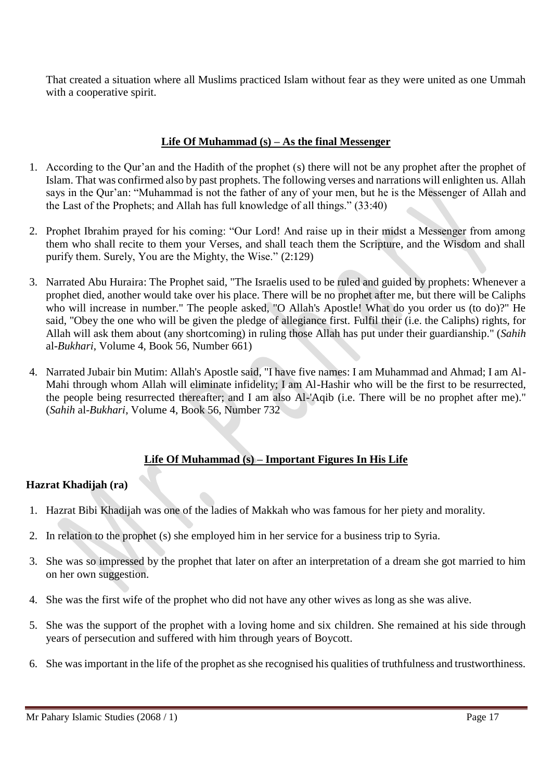That created a situation where all Muslims practiced Islam without fear as they were united as one Ummah with a cooperative spirit.

#### **Life Of Muhammad (s) – As the final Messenger**

- 1. According to the Qur'an and the Hadith of the prophet (s) there will not be any prophet after the prophet of Islam. That was confirmed also by past prophets. The following verses and narrations will enlighten us. Allah says in the Qur'an: "Muhammad is not the father of any of your men, but he is the Messenger of Allah and the Last of the Prophets; and Allah has full knowledge of all things." (33:40)
- 2. Prophet Ibrahim prayed for his coming: "Our Lord! And raise up in their midst a Messenger from among them who shall recite to them your Verses, and shall teach them the Scripture, and the Wisdom and shall purify them. Surely, You are the Mighty, the Wise." (2:129)
- 3. Narrated Abu Huraira: The Prophet said, "The Israelis used to be ruled and guided by prophets: Whenever a prophet died, another would take over his place. There will be no prophet after me, but there will be Caliphs who will increase in number." The people asked, "O Allah's Apostle! What do you order us (to do)?" He said, "Obey the one who will be given the pledge of allegiance first. Fulfil their (i.e. the Caliphs) rights, for Allah will ask them about (any shortcoming) in ruling those Allah has put under their guardianship." (*Sahih* al-*Bukhari*, Volume 4, Book 56, Number 661)
- 4. Narrated Jubair bin Mutim: Allah's Apostle said, "I have five names: I am Muhammad and Ahmad; I am Al-Mahi through whom Allah will eliminate infidelity; I am Al-Hashir who will be the first to be resurrected, the people being resurrected thereafter; and I am also Al-'Aqib (i.e. There will be no prophet after me)." (*Sahih* al-*Bukhari*, Volume 4, Book 56, Number 732

#### **Life Of Muhammad (s) – Important Figures In His Life**

#### **Hazrat Khadijah (ra)**

- 1. Hazrat Bibi Khadijah was one of the ladies of Makkah who was famous for her piety and morality.
- 2. In relation to the prophet (s) she employed him in her service for a business trip to Syria.
- 3. She was so impressed by the prophet that later on after an interpretation of a dream she got married to him on her own suggestion.
- 4. She was the first wife of the prophet who did not have any other wives as long as she was alive.
- 5. She was the support of the prophet with a loving home and six children. She remained at his side through years of persecution and suffered with him through years of Boycott.
- 6. She was important in the life of the prophet as she recognised his qualities of truthfulness and trustworthiness.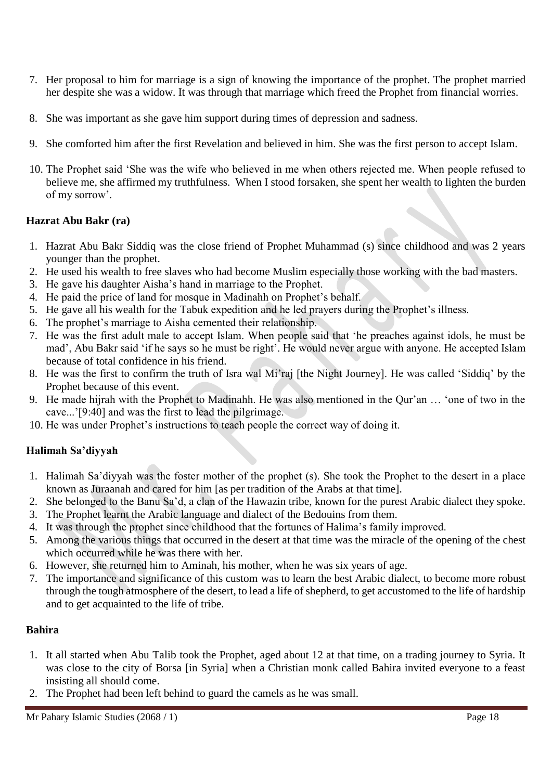- 7. Her proposal to him for marriage is a sign of knowing the importance of the prophet. The prophet married her despite she was a widow. It was through that marriage which freed the Prophet from financial worries.
- 8. She was important as she gave him support during times of depression and sadness.
- 9. She comforted him after the first Revelation and believed in him. She was the first person to accept Islam.
- 10. The Prophet said 'She was the wife who believed in me when others rejected me. When people refused to believe me, she affirmed my truthfulness. When I stood forsaken, she spent her wealth to lighten the burden of my sorrow'.

### **Hazrat Abu Bakr (ra)**

- 1. Hazrat Abu Bakr Siddiq was the close friend of Prophet Muhammad (s) since childhood and was 2 years younger than the prophet.
- 2. He used his wealth to free slaves who had become Muslim especially those working with the bad masters.
- 3. He gave his daughter Aisha's hand in marriage to the Prophet.
- 4. He paid the price of land for mosque in Madinahh on Prophet's behalf.
- 5. He gave all his wealth for the Tabuk expedition and he led prayers during the Prophet's illness.
- 6. The prophet's marriage to Aisha cemented their relationship.
- 7. He was the first adult male to accept Islam. When people said that 'he preaches against idols, he must be mad', Abu Bakr said 'if he says so he must be right'. He would never argue with anyone. He accepted Islam because of total confidence in his friend.
- 8. He was the first to confirm the truth of Isra wal Mi'raj [the Night Journey]. He was called 'Siddiq' by the Prophet because of this event.
- 9. He made hijrah with the Prophet to Madinahh. He was also mentioned in the Qur'an … 'one of two in the cave...'[9:40] and was the first to lead the pilgrimage.
- 10. He was under Prophet's instructions to teach people the correct way of doing it.

## **Halimah Sa'diyyah**

- 1. Halimah Sa'diyyah was the foster mother of the prophet (s). She took the Prophet to the desert in a place known as Juraanah and cared for him [as per tradition of the Arabs at that time].
- 2. She belonged to the Banu Sa'd, a clan of the Hawazin tribe, known for the purest Arabic dialect they spoke.
- 3. The Prophet learnt the Arabic language and dialect of the Bedouins from them.
- 4. It was through the prophet since childhood that the fortunes of Halima's family improved.
- 5. Among the various things that occurred in the desert at that time was the miracle of the opening of the chest which occurred while he was there with her.
- 6. However, she returned him to Aminah, his mother, when he was six years of age.
- 7. The importance and significance of this custom was to learn the best Arabic dialect, to become more robust through the tough atmosphere of the desert, to lead a life of shepherd, to get accustomed to the life of hardship and to get acquainted to the life of tribe.

## **Bahira**

- 1. It all started when Abu Talib took the Prophet, aged about 12 at that time, on a trading journey to Syria. It was close to the city of Borsa [in Syria] when a Christian monk called Bahira invited everyone to a feast insisting all should come.
- 2. The Prophet had been left behind to guard the camels as he was small.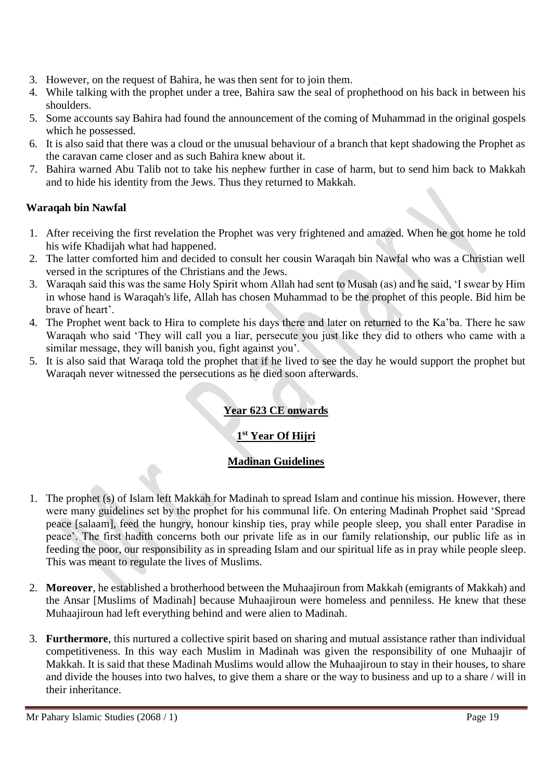- 3. However, on the request of Bahira, he was then sent for to join them.
- 4. While talking with the prophet under a tree, Bahira saw the seal of prophethood on his back in between his shoulders.
- 5. Some accounts say Bahira had found the announcement of the coming of Muhammad in the original gospels which he possessed.
- 6. It is also said that there was a cloud or the unusual behaviour of a branch that kept shadowing the Prophet as the caravan came closer and as such Bahira knew about it.
- 7. Bahira warned Abu Talib not to take his nephew further in case of harm, but to send him back to Makkah and to hide his identity from the Jews. Thus they returned to Makkah.

## **Waraqah bin Nawfal**

- 1. After receiving the first revelation the Prophet was very frightened and amazed. When he got home he told his wife Khadijah what had happened.
- 2. The latter comforted him and decided to consult her cousin Waraqah bin Nawfal who was a Christian well versed in the scriptures of the Christians and the Jews.
- 3. Waraqah said this was the same Holy Spirit whom Allah had sent to Musah (as) and he said, 'I swear by Him in whose hand is Waraqah's life, Allah has chosen Muhammad to be the prophet of this people. Bid him be brave of heart'.
- 4. The Prophet went back to Hira to complete his days there and later on returned to the Ka'ba. There he saw Waraqah who said 'They will call you a liar, persecute you just like they did to others who came with a similar message, they will banish you, fight against you'.
- 5. It is also said that Waraqa told the prophet that if he lived to see the day he would support the prophet but Waraqah never witnessed the persecutions as he died soon afterwards.

# **Year 623 CE onwards**

# **1 st Year Of Hijri**

## **Madinan Guidelines**

- 1. The prophet (s) of Islam left Makkah for Madinah to spread Islam and continue his mission. However, there were many guidelines set by the prophet for his communal life. On entering Madinah Prophet said 'Spread peace [salaam], feed the hungry, honour kinship ties, pray while people sleep, you shall enter Paradise in peace'. The first hadith concerns both our private life as in our family relationship, our public life as in feeding the poor, our responsibility as in spreading Islam and our spiritual life as in pray while people sleep. This was meant to regulate the lives of Muslims.
- 2. **Moreover**, he established a brotherhood between the Muhaajiroun from Makkah (emigrants of Makkah) and the Ansar [Muslims of Madinah] because Muhaajiroun were homeless and penniless. He knew that these Muhaajiroun had left everything behind and were alien to Madinah.
- 3. **Furthermore**, this nurtured a collective spirit based on sharing and mutual assistance rather than individual competitiveness. In this way each Muslim in Madinah was given the responsibility of one Muhaajir of Makkah. It is said that these Madinah Muslims would allow the Muhaajiroun to stay in their houses, to share and divide the houses into two halves, to give them a share or the way to business and up to a share / will in their inheritance.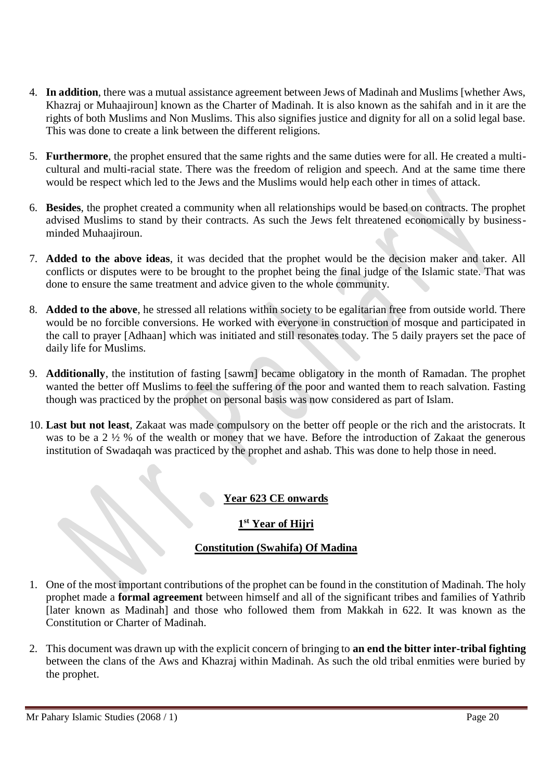- 4. **In addition**, there was a mutual assistance agreement between Jews of Madinah and Muslims [whether Aws, Khazraj or Muhaajiroun] known as the Charter of Madinah. It is also known as the sahifah and in it are the rights of both Muslims and Non Muslims. This also signifies justice and dignity for all on a solid legal base. This was done to create a link between the different religions.
- 5. **Furthermore**, the prophet ensured that the same rights and the same duties were for all. He created a multicultural and multi-racial state. There was the freedom of religion and speech. And at the same time there would be respect which led to the Jews and the Muslims would help each other in times of attack.
- 6. **Besides**, the prophet created a community when all relationships would be based on contracts. The prophet advised Muslims to stand by their contracts. As such the Jews felt threatened economically by businessminded Muhaajiroun.
- 7. **Added to the above ideas**, it was decided that the prophet would be the decision maker and taker. All conflicts or disputes were to be brought to the prophet being the final judge of the Islamic state. That was done to ensure the same treatment and advice given to the whole community.
- 8. **Added to the above**, he stressed all relations within society to be egalitarian free from outside world. There would be no forcible conversions. He worked with everyone in construction of mosque and participated in the call to prayer [Adhaan] which was initiated and still resonates today. The 5 daily prayers set the pace of daily life for Muslims.
- 9. **Additionally**, the institution of fasting [sawm] became obligatory in the month of Ramadan. The prophet wanted the better off Muslims to feel the suffering of the poor and wanted them to reach salvation. Fasting though was practiced by the prophet on personal basis was now considered as part of Islam.
- 10. **Last but not least**, Zakaat was made compulsory on the better off people or the rich and the aristocrats. It was to be a 2 ½ % of the wealth or money that we have. Before the introduction of Zakaat the generous institution of Swadaqah was practiced by the prophet and ashab. This was done to help those in need.

## **Year 623 CE onwards**

# **1 st Year of Hijri**

## **Constitution (Swahifa) Of Madina**

- 1. One of the most important contributions of the prophet can be found in the constitution of Madinah. The holy prophet made a **formal agreement** between himself and all of the significant tribes and families of Yathrib [later known as Madinah] and those who followed them from Makkah in 622. It was known as the Constitution or Charter of Madinah.
- 2. This document was drawn up with the explicit concern of bringing to **an end the bitter inter-tribal fighting** between the clans of the Aws and Khazraj within Madinah. As such the old tribal enmities were buried by the prophet.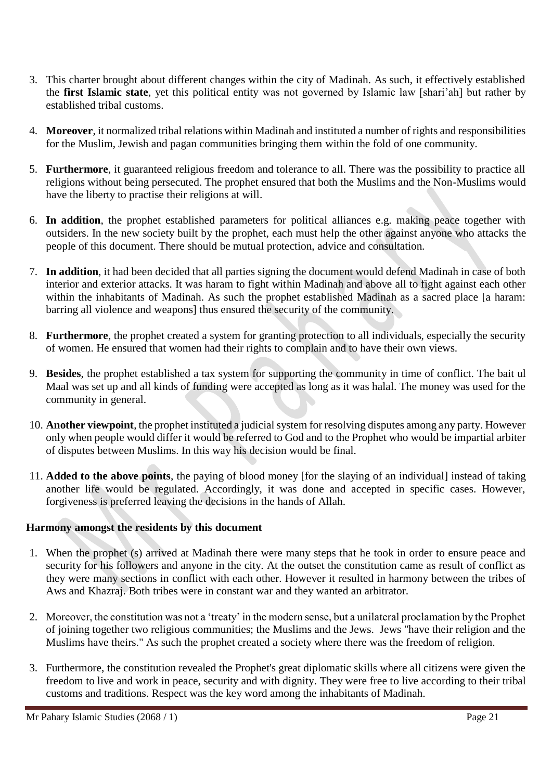- 3. This charter brought about different changes within the city of Madinah. As such, it effectively established the **first Islamic state**, yet this political entity was not governed by Islamic law [shari'ah] but rather by established tribal customs.
- 4. **Moreover**, it normalized tribal relations within Madinah and instituted a number of rights and responsibilities for the Muslim, Jewish and pagan communities bringing them within the fold of one community.
- 5. **Furthermore**, it guaranteed religious freedom and tolerance to all. There was the possibility to practice all religions without being persecuted. The prophet ensured that both the Muslims and the Non-Muslims would have the liberty to practise their religions at will.
- 6. **In addition**, the prophet established parameters for political alliances e.g. making peace together with outsiders. In the new society built by the prophet, each must help the other against anyone who attacks the people of this document. There should be mutual protection, advice and consultation.
- 7. **In addition**, it had been decided that all parties signing the document would defend Madinah in case of both interior and exterior attacks. It was haram to fight within Madinah and above all to fight against each other within the inhabitants of Madinah. As such the prophet established Madinah as a sacred place [a haram: barring all violence and weapons] thus ensured the security of the community.
- 8. **Furthermore**, the prophet created a system for granting protection to all individuals, especially the security of women. He ensured that women had their rights to complain and to have their own views.
- 9. **Besides**, the prophet established a tax system for supporting the community in time of conflict. The bait ul Maal was set up and all kinds of funding were accepted as long as it was halal. The money was used for the community in general.
- 10. **Another viewpoint**, the prophet instituted a judicial system for resolving disputes among any party. However only when people would differ it would be referred to God and to the Prophet who would be impartial arbiter of disputes between Muslims. In this way his decision would be final.
- 11. **Added to the above points**, the paying of blood money [for the slaying of an individual] instead of taking another life would be regulated. Accordingly, it was done and accepted in specific cases. However, forgiveness is preferred leaving the decisions in the hands of Allah.

#### **Harmony amongst the residents by this document**

- 1. When the prophet (s) arrived at Madinah there were many steps that he took in order to ensure peace and security for his followers and anyone in the city. At the outset the constitution came as result of conflict as they were many sections in conflict with each other. However it resulted in harmony between the tribes of Aws and Khazraj. Both tribes were in constant war and they wanted an arbitrator.
- 2. Moreover, the constitution was not a 'treaty' in the modern sense, but a unilateral proclamation by the Prophet of joining together two religious communities; the Muslims and the Jews. Jews "have their religion and the Muslims have theirs." As such the prophet created a society where there was the freedom of religion.
- 3. Furthermore, the constitution revealed the Prophet's great diplomatic skills where all citizens were given the freedom to live and work in peace, security and with dignity. They were free to live according to their tribal customs and traditions. Respect was the key word among the inhabitants of Madinah.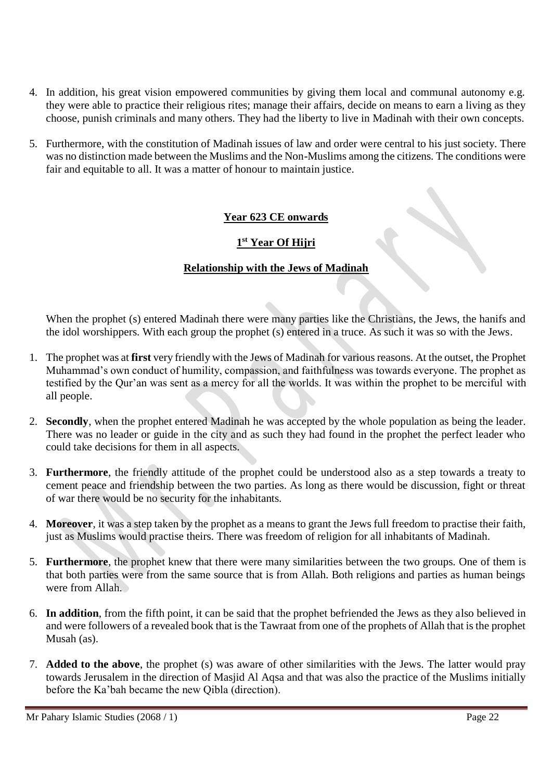- 4. In addition, his great vision empowered communities by giving them local and communal autonomy e.g. they were able to practice their religious rites; manage their affairs, decide on means to earn a living as they choose, punish criminals and many others. They had the liberty to live in Madinah with their own concepts.
- 5. Furthermore, with the constitution of Madinah issues of law and order were central to his just society. There was no distinction made between the Muslims and the Non-Muslims among the citizens. The conditions were fair and equitable to all. It was a matter of honour to maintain justice.

### **Year 623 CE onwards**

## **1 st Year Of Hijri**

### **Relationship with the Jews of Madinah**

When the prophet (s) entered Madinah there were many parties like the Christians, the Jews, the hanifs and the idol worshippers. With each group the prophet (s) entered in a truce. As such it was so with the Jews.

- 1. The prophet was at **first** very friendly with the Jews of Madinah for various reasons. At the outset, the Prophet Muhammad's own conduct of humility, compassion, and faithfulness was towards everyone. The prophet as testified by the Qur'an was sent as a mercy for all the worlds. It was within the prophet to be merciful with all people.
- 2. **Secondly**, when the prophet entered Madinah he was accepted by the whole population as being the leader. There was no leader or guide in the city and as such they had found in the prophet the perfect leader who could take decisions for them in all aspects.
- 3. **Furthermore**, the friendly attitude of the prophet could be understood also as a step towards a treaty to cement peace and friendship between the two parties. As long as there would be discussion, fight or threat of war there would be no security for the inhabitants.
- 4. **Moreover**, it was a step taken by the prophet as a means to grant the Jews full freedom to practise their faith, just as Muslims would practise theirs. There was freedom of religion for all inhabitants of Madinah.
- 5. **Furthermore**, the prophet knew that there were many similarities between the two groups. One of them is that both parties were from the same source that is from Allah. Both religions and parties as human beings were from Allah.
- 6. **In addition**, from the fifth point, it can be said that the prophet befriended the Jews as they also believed in and were followers of a revealed book that is the Tawraat from one of the prophets of Allah that is the prophet Musah (as).
- 7. **Added to the above**, the prophet (s) was aware of other similarities with the Jews. The latter would pray towards Jerusalem in the direction of Masjid Al Aqsa and that was also the practice of the Muslims initially before the Ka'bah became the new Qibla (direction).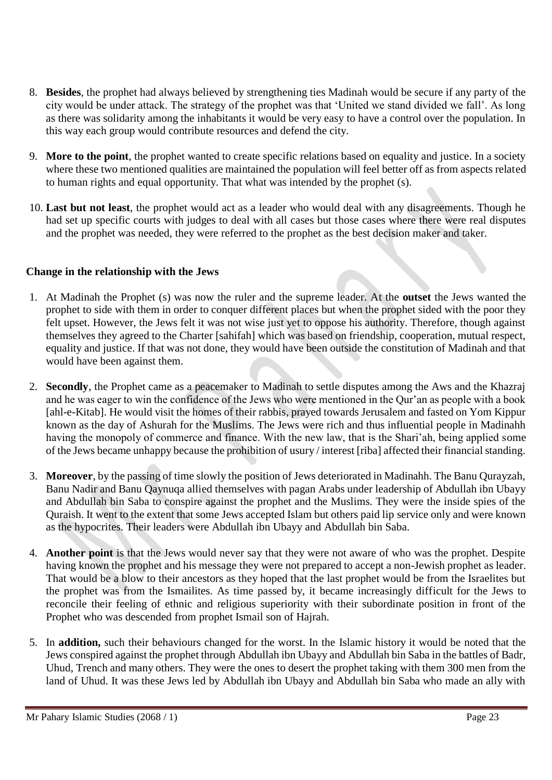- 8. **Besides**, the prophet had always believed by strengthening ties Madinah would be secure if any party of the city would be under attack. The strategy of the prophet was that 'United we stand divided we fall'. As long as there was solidarity among the inhabitants it would be very easy to have a control over the population. In this way each group would contribute resources and defend the city.
- 9. **More to the point**, the prophet wanted to create specific relations based on equality and justice. In a society where these two mentioned qualities are maintained the population will feel better off as from aspects related to human rights and equal opportunity. That what was intended by the prophet (s).
- 10. **Last but not least**, the prophet would act as a leader who would deal with any disagreements. Though he had set up specific courts with judges to deal with all cases but those cases where there were real disputes and the prophet was needed, they were referred to the prophet as the best decision maker and taker.

### **Change in the relationship with the Jews**

- 1. At Madinah the Prophet (s) was now the ruler and the supreme leader. At the **outset** the Jews wanted the prophet to side with them in order to conquer different places but when the prophet sided with the poor they felt upset. However, the Jews felt it was not wise just yet to oppose his authority. Therefore, though against themselves they agreed to the Charter [sahifah] which was based on friendship, cooperation, mutual respect, equality and justice. If that was not done, they would have been outside the constitution of Madinah and that would have been against them.
- 2. **Secondly**, the Prophet came as a peacemaker to Madinah to settle disputes among the Aws and the Khazraj and he was eager to win the confidence of the Jews who were mentioned in the Qur'an as people with a book [ahl-e-Kitab]. He would visit the homes of their rabbis, prayed towards Jerusalem and fasted on Yom Kippur known as the day of Ashurah for the Muslims. The Jews were rich and thus influential people in Madinahh having the monopoly of commerce and finance. With the new law, that is the Shari'ah, being applied some of the Jews became unhappy because the prohibition of usury / interest [riba] affected their financial standing.
- 3. **Moreover**, by the passing of time slowly the position of Jews deteriorated in Madinahh. The Banu Qurayzah, Banu Nadir and Banu Qaynuqa allied themselves with pagan Arabs under leadership of Abdullah ibn Ubayy and Abdullah bin Saba to conspire against the prophet and the Muslims. They were the inside spies of the Quraish. It went to the extent that some Jews accepted Islam but others paid lip service only and were known as the hypocrites. Their leaders were Abdullah ibn Ubayy and Abdullah bin Saba.
- 4. **Another point** is that the Jews would never say that they were not aware of who was the prophet. Despite having known the prophet and his message they were not prepared to accept a non-Jewish prophet as leader. That would be a blow to their ancestors as they hoped that the last prophet would be from the Israelites but the prophet was from the Ismailites. As time passed by, it became increasingly difficult for the Jews to reconcile their feeling of ethnic and religious superiority with their subordinate position in front of the Prophet who was descended from prophet Ismail son of Hajrah.
- 5. In **addition,** such their behaviours changed for the worst. In the Islamic history it would be noted that the Jews conspired against the prophet through Abdullah ibn Ubayy and Abdullah bin Saba in the battles of Badr, Uhud, Trench and many others. They were the ones to desert the prophet taking with them 300 men from the land of Uhud. It was these Jews led by Abdullah ibn Ubayy and Abdullah bin Saba who made an ally with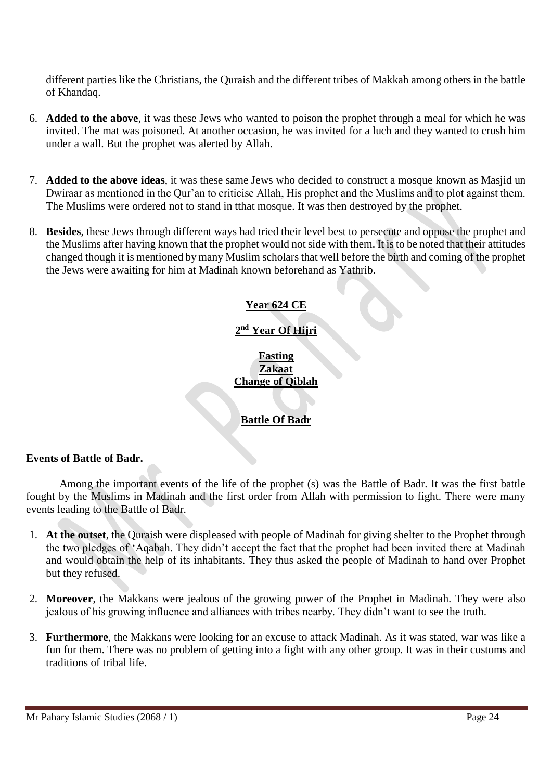different parties like the Christians, the Quraish and the different tribes of Makkah among others in the battle of Khandaq.

- 6. **Added to the above**, it was these Jews who wanted to poison the prophet through a meal for which he was invited. The mat was poisoned. At another occasion, he was invited for a luch and they wanted to crush him under a wall. But the prophet was alerted by Allah.
- 7. **Added to the above ideas**, it was these same Jews who decided to construct a mosque known as Masjid un Dwiraar as mentioned in the Qur'an to criticise Allah, His prophet and the Muslims and to plot against them. The Muslims were ordered not to stand in tthat mosque. It was then destroyed by the prophet.
- 8. **Besides**, these Jews through different ways had tried their level best to persecute and oppose the prophet and the Muslims after having known that the prophet would not side with them. It is to be noted that their attitudes changed though it is mentioned by many Muslim scholars that well before the birth and coming of the prophet the Jews were awaiting for him at Madinah known beforehand as Yathrib.

## **Year 624 CE**

## **2 nd Year Of Hijri**

**Fasting Zakaat Change of Qiblah**

## **Battle Of Badr**

#### **Events of Battle of Badr.**

Among the important events of the life of the prophet (s) was the Battle of Badr. It was the first battle fought by the Muslims in Madinah and the first order from Allah with permission to fight. There were many events leading to the Battle of Badr.

- 1. **At the outset**, the Quraish were displeased with people of Madinah for giving shelter to the Prophet through the two pledges of 'Aqabah. They didn't accept the fact that the prophet had been invited there at Madinah and would obtain the help of its inhabitants. They thus asked the people of Madinah to hand over Prophet but they refused.
- 2. **Moreover**, the Makkans were jealous of the growing power of the Prophet in Madinah. They were also jealous of his growing influence and alliances with tribes nearby. They didn't want to see the truth.
- 3. **Furthermore**, the Makkans were looking for an excuse to attack Madinah. As it was stated, war was like a fun for them. There was no problem of getting into a fight with any other group. It was in their customs and traditions of tribal life.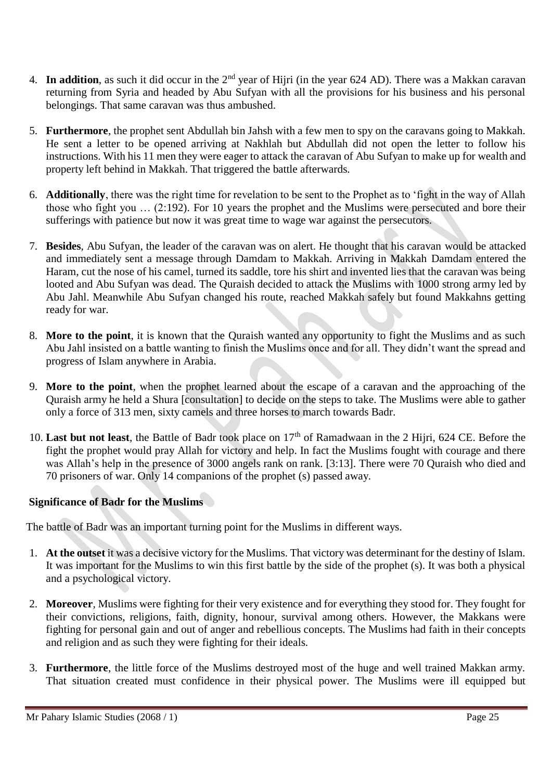- 4. **In addition**, as such it did occur in the 2<sup>nd</sup> year of Hijri (in the year 624 AD). There was a Makkan caravan returning from Syria and headed by Abu Sufyan with all the provisions for his business and his personal belongings. That same caravan was thus ambushed.
- 5. **Furthermore**, the prophet sent Abdullah bin Jahsh with a few men to spy on the caravans going to Makkah. He sent a letter to be opened arriving at Nakhlah but Abdullah did not open the letter to follow his instructions. With his 11 men they were eager to attack the caravan of Abu Sufyan to make up for wealth and property left behind in Makkah. That triggered the battle afterwards.
- 6. **Additionally**, there was the right time for revelation to be sent to the Prophet as to 'fight in the way of Allah those who fight you … (2:192). For 10 years the prophet and the Muslims were persecuted and bore their sufferings with patience but now it was great time to wage war against the persecutors.
- 7. **Besides**, Abu Sufyan, the leader of the caravan was on alert. He thought that his caravan would be attacked and immediately sent a message through Damdam to Makkah. Arriving in Makkah Damdam entered the Haram, cut the nose of his camel, turned its saddle, tore his shirt and invented lies that the caravan was being looted and Abu Sufyan was dead. The Quraish decided to attack the Muslims with 1000 strong army led by Abu Jahl. Meanwhile Abu Sufyan changed his route, reached Makkah safely but found Makkahns getting ready for war.
- 8. **More to the point**, it is known that the Quraish wanted any opportunity to fight the Muslims and as such Abu Jahl insisted on a battle wanting to finish the Muslims once and for all. They didn't want the spread and progress of Islam anywhere in Arabia.
- 9. **More to the point**, when the prophet learned about the escape of a caravan and the approaching of the Quraish army he held a Shura [consultation] to decide on the steps to take. The Muslims were able to gather only a force of 313 men, sixty camels and three horses to march towards Badr.
- 10. Last but not least, the Battle of Badr took place on 17<sup>th</sup> of Ramadwaan in the 2 Hijri, 624 CE. Before the fight the prophet would pray Allah for victory and help. In fact the Muslims fought with courage and there was Allah's help in the presence of 3000 angels rank on rank. [3:13]. There were 70 Quraish who died and 70 prisoners of war. Only 14 companions of the prophet (s) passed away.

## **Significance of Badr for the Muslims**

The battle of Badr was an important turning point for the Muslims in different ways.

- 1. **At the outset** it was a decisive victory for the Muslims. That victory was determinant for the destiny of Islam. It was important for the Muslims to win this first battle by the side of the prophet (s). It was both a physical and a psychological victory.
- 2. **Moreover**, Muslims were fighting for their very existence and for everything they stood for. They fought for their convictions, religions, faith, dignity, honour, survival among others. However, the Makkans were fighting for personal gain and out of anger and rebellious concepts. The Muslims had faith in their concepts and religion and as such they were fighting for their ideals.
- 3. **Furthermore**, the little force of the Muslims destroyed most of the huge and well trained Makkan army. That situation created must confidence in their physical power. The Muslims were ill equipped but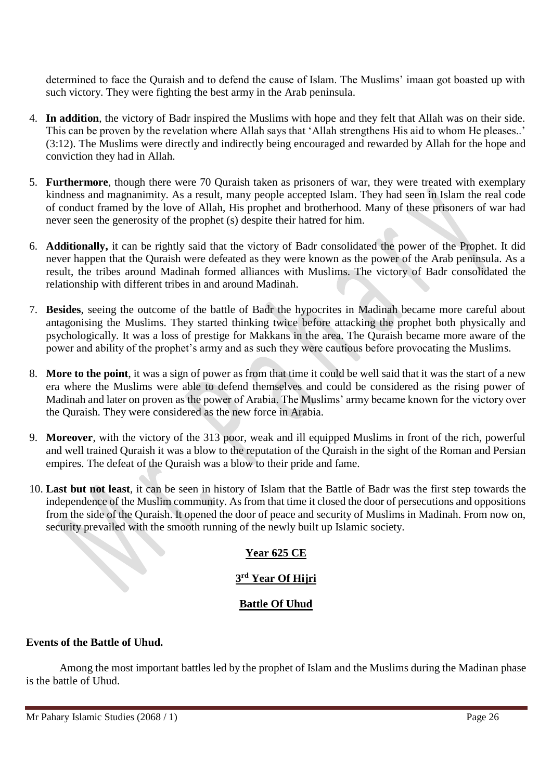determined to face the Quraish and to defend the cause of Islam. The Muslims' imaan got boasted up with such victory. They were fighting the best army in the Arab peninsula.

- 4. **In addition**, the victory of Badr inspired the Muslims with hope and they felt that Allah was on their side. This can be proven by the revelation where Allah says that 'Allah strengthens His aid to whom He pleases..' (3:12). The Muslims were directly and indirectly being encouraged and rewarded by Allah for the hope and conviction they had in Allah.
- 5. **Furthermore**, though there were 70 Quraish taken as prisoners of war, they were treated with exemplary kindness and magnanimity. As a result, many people accepted Islam. They had seen in Islam the real code of conduct framed by the love of Allah, His prophet and brotherhood. Many of these prisoners of war had never seen the generosity of the prophet (s) despite their hatred for him.
- 6. **Additionally,** it can be rightly said that the victory of Badr consolidated the power of the Prophet. It did never happen that the Quraish were defeated as they were known as the power of the Arab peninsula. As a result, the tribes around Madinah formed alliances with Muslims. The victory of Badr consolidated the relationship with different tribes in and around Madinah.
- 7. **Besides**, seeing the outcome of the battle of Badr the hypocrites in Madinah became more careful about antagonising the Muslims. They started thinking twice before attacking the prophet both physically and psychologically. It was a loss of prestige for Makkans in the area. The Quraish became more aware of the power and ability of the prophet's army and as such they were cautious before provocating the Muslims.
- 8. **More to the point**, it was a sign of power as from that time it could be well said that it was the start of a new era where the Muslims were able to defend themselves and could be considered as the rising power of Madinah and later on proven as the power of Arabia. The Muslims' army became known for the victory over the Quraish. They were considered as the new force in Arabia.
- 9. **Moreover**, with the victory of the 313 poor, weak and ill equipped Muslims in front of the rich, powerful and well trained Quraish it was a blow to the reputation of the Quraish in the sight of the Roman and Persian empires. The defeat of the Quraish was a blow to their pride and fame.
- 10. **Last but not least**, it can be seen in history of Islam that the Battle of Badr was the first step towards the independence of the Muslim community. As from that time it closed the door of persecutions and oppositions from the side of the Quraish. It opened the door of peace and security of Muslims in Madinah. From now on, security prevailed with the smooth running of the newly built up Islamic society.

# **Year 625 CE**

## **3 rd Year Of Hijri**

## **Battle Of Uhud**

#### **Events of the Battle of Uhud.**

Among the most important battles led by the prophet of Islam and the Muslims during the Madinan phase is the battle of Uhud.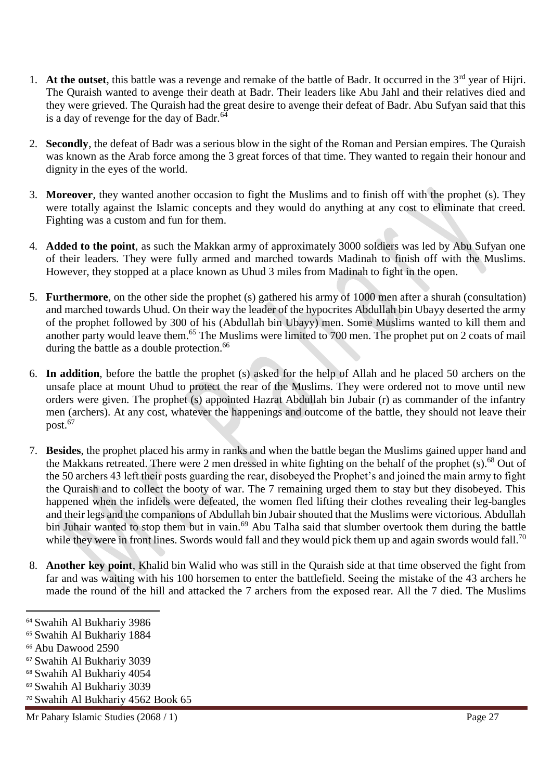- 1. At the outset, this battle was a revenge and remake of the battle of Badr. It occurred in the 3<sup>rd</sup> year of Hijri. The Quraish wanted to avenge their death at Badr. Their leaders like Abu Jahl and their relatives died and they were grieved. The Quraish had the great desire to avenge their defeat of Badr. Abu Sufyan said that this is a day of revenge for the day of Badr. $64$
- 2. **Secondly**, the defeat of Badr was a serious blow in the sight of the Roman and Persian empires. The Quraish was known as the Arab force among the 3 great forces of that time. They wanted to regain their honour and dignity in the eyes of the world.
- 3. **Moreover**, they wanted another occasion to fight the Muslims and to finish off with the prophet (s). They were totally against the Islamic concepts and they would do anything at any cost to eliminate that creed. Fighting was a custom and fun for them.
- 4. **Added to the point**, as such the Makkan army of approximately 3000 soldiers was led by Abu Sufyan one of their leaders. They were fully armed and marched towards Madinah to finish off with the Muslims. However, they stopped at a place known as Uhud 3 miles from Madinah to fight in the open.
- 5. **Furthermore**, on the other side the prophet (s) gathered his army of 1000 men after a shurah (consultation) and marched towards Uhud. On their way the leader of the hypocrites Abdullah bin Ubayy deserted the army of the prophet followed by 300 of his (Abdullah bin Ubayy) men. Some Muslims wanted to kill them and another party would leave them.<sup>65</sup> The Muslims were limited to 700 men. The prophet put on 2 coats of mail during the battle as a double protection.<sup>66</sup>
- 6. **In addition**, before the battle the prophet (s) asked for the help of Allah and he placed 50 archers on the unsafe place at mount Uhud to protect the rear of the Muslims. They were ordered not to move until new orders were given. The prophet (s) appointed Hazrat Abdullah bin Jubair (r) as commander of the infantry men (archers). At any cost, whatever the happenings and outcome of the battle, they should not leave their post.<sup>67</sup>
- 7. **Besides**, the prophet placed his army in ranks and when the battle began the Muslims gained upper hand and the Makkans retreated. There were 2 men dressed in white fighting on the behalf of the prophet (s).<sup>68</sup> Out of the 50 archers 43 left their posts guarding the rear, disobeyed the Prophet's and joined the main army to fight the Quraish and to collect the booty of war. The 7 remaining urged them to stay but they disobeyed. This happened when the infidels were defeated, the women fled lifting their clothes revealing their leg-bangles and their legs and the companions of Abdullah bin Jubair shouted that the Muslims were victorious. Abdullah bin Juhair wanted to stop them but in vain.<sup>69</sup> Abu Talha said that slumber overtook them during the battle while they were in front lines. Swords would fall and they would pick them up and again swords would fall.<sup>70</sup>
- 8. **Another key point**, Khalid bin Walid who was still in the Quraish side at that time observed the fight from far and was waiting with his 100 horsemen to enter the battlefield. Seeing the mistake of the 43 archers he made the round of the hill and attacked the 7 archers from the exposed rear. All the 7 died. The Muslims

l

Mr Pahary Islamic Studies (2068 / 1) Page 27

<sup>64</sup> Swahih Al Bukhariy 3986

<sup>65</sup> Swahih Al Bukhariy 1884

<sup>66</sup> Abu Dawood 2590

<sup>67</sup> Swahih Al Bukhariy 3039

<sup>68</sup> Swahih Al Bukhariy 4054

<sup>69</sup> Swahih Al Bukhariy 3039

<sup>70</sup> Swahih Al Bukhariy 4562 Book 65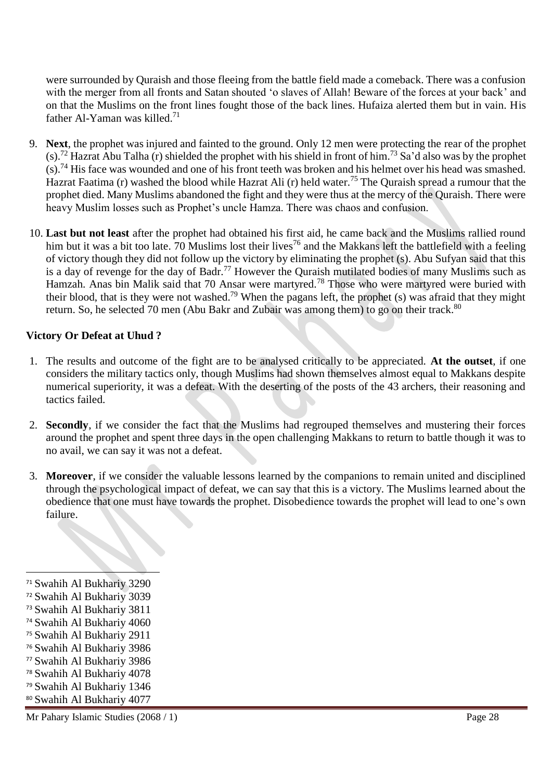were surrounded by Quraish and those fleeing from the battle field made a comeback. There was a confusion with the merger from all fronts and Satan shouted 'o slaves of Allah! Beware of the forces at your back' and on that the Muslims on the front lines fought those of the back lines. Hufaiza alerted them but in vain. His father Al-Yaman was killed.<sup>71</sup>

- 9. **Next**, the prophet was injured and fainted to the ground. Only 12 men were protecting the rear of the prophet (s).<sup>72</sup> Hazrat Abu Talha (r) shielded the prophet with his shield in front of him.<sup>73</sup> Sa'd also was by the prophet  $(s)$ .<sup>74</sup> His face was wounded and one of his front teeth was broken and his helmet over his head was smashed. Hazrat Faatima (r) washed the blood while Hazrat Ali (r) held water.<sup>75</sup> The Quraish spread a rumour that the prophet died. Many Muslims abandoned the fight and they were thus at the mercy of the Quraish. There were heavy Muslim losses such as Prophet's uncle Hamza. There was chaos and confusion.
- 10. **Last but not least** after the prophet had obtained his first aid, he came back and the Muslims rallied round him but it was a bit too late. 70 Muslims lost their lives<sup>76</sup> and the Makkans left the battlefield with a feeling of victory though they did not follow up the victory by eliminating the prophet (s). Abu Sufyan said that this is a day of revenge for the day of Badr.<sup>77</sup> However the Quraish mutilated bodies of many Muslims such as Hamzah. Anas bin Malik said that 70 Ansar were martyred.<sup>78</sup> Those who were martyred were buried with their blood, that is they were not washed.<sup>79</sup> When the pagans left, the prophet (s) was afraid that they might return. So, he selected 70 men (Abu Bakr and Zubair was among them) to go on their track.<sup>80</sup>

#### **Victory Or Defeat at Uhud ?**

- 1. The results and outcome of the fight are to be analysed critically to be appreciated. **At the outset**, if one considers the military tactics only, though Muslims had shown themselves almost equal to Makkans despite numerical superiority, it was a defeat. With the deserting of the posts of the 43 archers, their reasoning and tactics failed.
- 2. **Secondly**, if we consider the fact that the Muslims had regrouped themselves and mustering their forces around the prophet and spent three days in the open challenging Makkans to return to battle though it was to no avail, we can say it was not a defeat.
- 3. **Moreover**, if we consider the valuable lessons learned by the companions to remain united and disciplined through the psychological impact of defeat, we can say that this is a victory. The Muslims learned about the obedience that one must have towards the prophet. Disobedience towards the prophet will lead to one's own failure.

- <sup>75</sup> Swahih Al Bukhariy 2911
- <sup>76</sup> Swahih Al Bukhariy 3986
- <sup>77</sup> Swahih Al Bukhariy 3986
- <sup>78</sup> Swahih Al Bukhariy 4078
- <sup>79</sup> Swahih Al Bukhariy 1346
- <sup>80</sup> Swahih Al Bukhariy 4077

<sup>71</sup> Swahih Al Bukhariy 3290

<sup>72</sup> Swahih Al Bukhariy 3039

<sup>73</sup> Swahih Al Bukhariy 3811

<sup>74</sup> Swahih Al Bukhariy 4060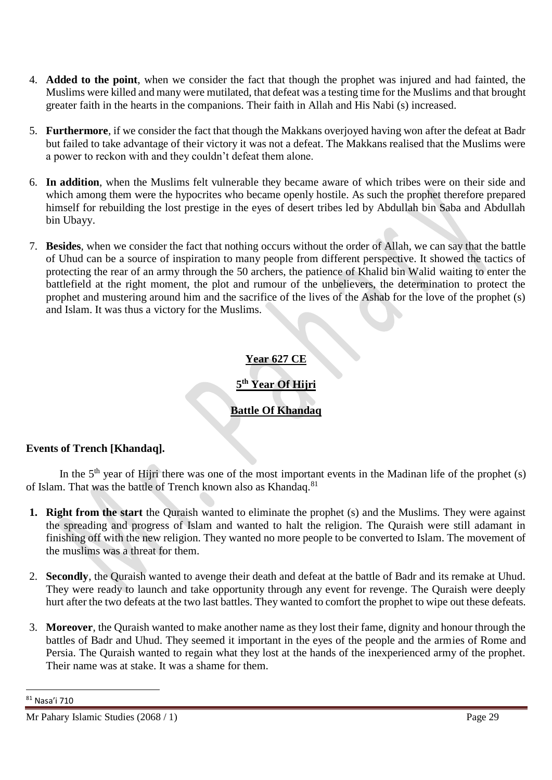- 4. **Added to the point**, when we consider the fact that though the prophet was injured and had fainted, the Muslims were killed and many were mutilated, that defeat was a testing time for the Muslims and that brought greater faith in the hearts in the companions. Their faith in Allah and His Nabi (s) increased.
- 5. **Furthermore**, if we consider the fact that though the Makkans overjoyed having won after the defeat at Badr but failed to take advantage of their victory it was not a defeat. The Makkans realised that the Muslims were a power to reckon with and they couldn't defeat them alone.
- 6. **In addition**, when the Muslims felt vulnerable they became aware of which tribes were on their side and which among them were the hypocrites who became openly hostile. As such the prophet therefore prepared himself for rebuilding the lost prestige in the eyes of desert tribes led by Abdullah bin Saba and Abdullah bin Ubayy.
- 7. **Besides**, when we consider the fact that nothing occurs without the order of Allah, we can say that the battle of Uhud can be a source of inspiration to many people from different perspective. It showed the tactics of protecting the rear of an army through the 50 archers, the patience of Khalid bin Walid waiting to enter the battlefield at the right moment, the plot and rumour of the unbelievers, the determination to protect the prophet and mustering around him and the sacrifice of the lives of the Ashab for the love of the prophet (s) and Islam. It was thus a victory for the Muslims.

## **Year 627 CE**

# **5 th Year Of Hijri**

# **Battle Of Khandaq**

#### **Events of Trench [Khandaq].**

In the  $5<sup>th</sup>$  year of Hijri there was one of the most important events in the Madinan life of the prophet (s) of Islam. That was the battle of Trench known also as Khandaq.<sup>81</sup>

- **1. Right from the start** the Quraish wanted to eliminate the prophet (s) and the Muslims. They were against the spreading and progress of Islam and wanted to halt the religion. The Quraish were still adamant in finishing off with the new religion. They wanted no more people to be converted to Islam. The movement of the muslims was a threat for them.
- 2. **Secondly**, the Quraish wanted to avenge their death and defeat at the battle of Badr and its remake at Uhud. They were ready to launch and take opportunity through any event for revenge. The Quraish were deeply hurt after the two defeats at the two last battles. They wanted to comfort the prophet to wipe out these defeats.
- 3. **Moreover**, the Quraish wanted to make another name as they lost their fame, dignity and honour through the battles of Badr and Uhud. They seemed it important in the eyes of the people and the armies of Rome and Persia. The Quraish wanted to regain what they lost at the hands of the inexperienced army of the prophet. Their name was at stake. It was a shame for them.

<sup>81</sup> Nasa'i 710

Mr Pahary Islamic Studies (2068 / 1) Page 29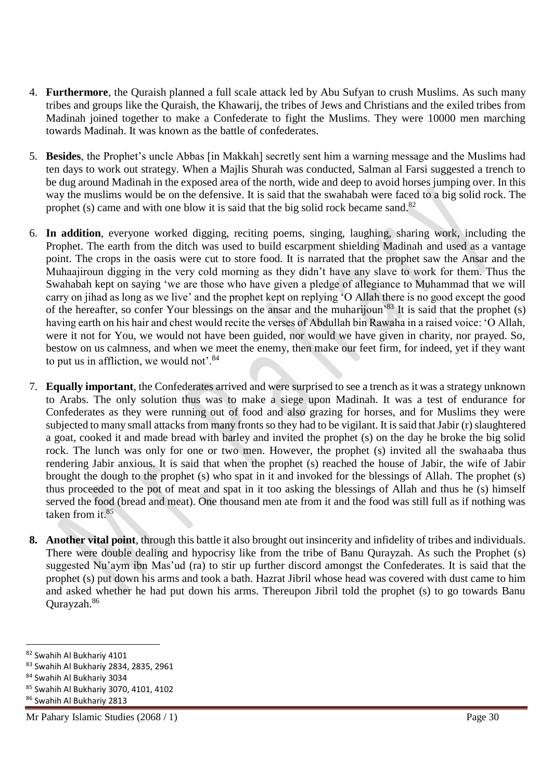- 4. **Furthermore**, the Quraish planned a full scale attack led by Abu Sufyan to crush Muslims. As such many tribes and groups like the Quraish, the Khawarij, the tribes of Jews and Christians and the exiled tribes from Madinah joined together to make a Confederate to fight the Muslims. They were 10000 men marching towards Madinah. It was known as the battle of confederates.
- 5. **Besides**, the Prophet's uncle Abbas [in Makkah] secretly sent him a warning message and the Muslims had ten days to work out strategy. When a Majlis Shurah was conducted, Salman al Farsi suggested a trench to be dug around Madinah in the exposed area of the north, wide and deep to avoid horses jumping over. In this way the muslims would be on the defensive. It is said that the swahabah were faced to a big solid rock. The prophet (s) came and with one blow it is said that the big solid rock became sand.<sup>82</sup>
- 6. **In addition**, everyone worked digging, reciting poems, singing, laughing, sharing work, including the Prophet. The earth from the ditch was used to build escarpment shielding Madinah and used as a vantage point. The crops in the oasis were cut to store food. It is narrated that the prophet saw the Ansar and the Muhaajiroun digging in the very cold morning as they didn't have any slave to work for them. Thus the Swahabah kept on saying 'we are those who have given a pledge of allegiance to Muhammad that we will carry on jihad as long as we live' and the prophet kept on replying 'O Allah there is no good except the good of the hereafter, so confer Your blessings on the ansar and the muharijoun<sup>'83</sup> It is said that the prophet (s) having earth on his hair and chest would recite the verses of Abdullah bin Rawaha in a raised voice: 'O Allah, were it not for You, we would not have been guided, nor would we have given in charity, nor prayed. So, bestow on us calmness, and when we meet the enemy, then make our feet firm, for indeed, yet if they want to put us in affliction, we would not'.<sup>84</sup>
- 7. **Equally important**, the Confederates arrived and were surprised to see a trench as it was a strategy unknown to Arabs. The only solution thus was to make a siege upon Madinah. It was a test of endurance for Confederates as they were running out of food and also grazing for horses, and for Muslims they were subjected to many small attacks from many fronts so they had to be vigilant. It is said that Jabir (r) slaughtered a goat, cooked it and made bread with barley and invited the prophet (s) on the day he broke the big solid rock. The lunch was only for one or two men. However, the prophet (s) invited all the swahaaba thus rendering Jabir anxious. It is said that when the prophet (s) reached the house of Jabir, the wife of Jabir brought the dough to the prophet (s) who spat in it and invoked for the blessings of Allah. The prophet (s) thus proceeded to the pot of meat and spat in it too asking the blessings of Allah and thus he (s) himself served the food (bread and meat). One thousand men ate from it and the food was still full as if nothing was taken from it.<sup>85</sup>
- **8. Another vital point**, through this battle it also brought out insincerity and infidelity of tribes and individuals. There were double dealing and hypocrisy like from the tribe of Banu Qurayzah. As such the Prophet (s) suggested Nu'aym ibn Mas'ud (ra) to stir up further discord amongst the Confederates. It is said that the prophet (s) put down his arms and took a bath. Hazrat Jibril whose head was covered with dust came to him and asked whether he had put down his arms. Thereupon Jibril told the prophet (s) to go towards Banu Qurayzah.<sup>86</sup>

<sup>82</sup> Swahih Al Bukhariy 4101

<sup>83</sup> Swahih Al Bukhariy 2834, 2835, 2961

<sup>84</sup> Swahih Al Bukhariy 3034

<sup>85</sup> Swahih Al Bukhariy 3070, 4101, 4102

<sup>86</sup> Swahih Al Bukhariy 2813

Mr Pahary Islamic Studies (2068 / 1) Page 30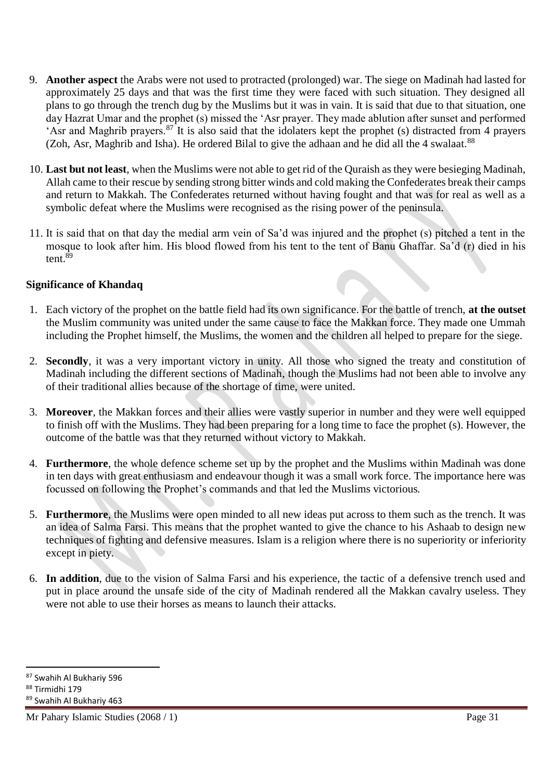- 9. **Another aspect** the Arabs were not used to protracted (prolonged) war. The siege on Madinah had lasted for approximately 25 days and that was the first time they were faced with such situation. They designed all plans to go through the trench dug by the Muslims but it was in vain. It is said that due to that situation, one day Hazrat Umar and the prophet (s) missed the 'Asr prayer. They made ablution after sunset and performed 'Asr and Maghrib prayers.<sup>87</sup> It is also said that the idolaters kept the prophet (s) distracted from 4 prayers (Zoh, Asr, Maghrib and Isha). He ordered Bilal to give the adhaan and he did all the 4 swalaat.<sup>88</sup>
- 10. **Last but not least**, when the Muslims were not able to get rid of the Quraish as they were besieging Madinah, Allah came to their rescue by sending strong bitter winds and cold making the Confederates break their camps and return to Makkah. The Confederates returned without having fought and that was for real as well as a symbolic defeat where the Muslims were recognised as the rising power of the peninsula.
- 11. It is said that on that day the medial arm vein of Sa'd was injured and the prophet (s) pitched a tent in the mosque to look after him. His blood flowed from his tent to the tent of Banu Ghaffar. Sa'd (r) died in his tent.<sup>89</sup>

#### **Significance of Khandaq**

- 1. Each victory of the prophet on the battle field had its own significance. For the battle of trench, **at the outset** the Muslim community was united under the same cause to face the Makkan force. They made one Ummah including the Prophet himself, the Muslims, the women and the children all helped to prepare for the siege.
- 2. **Secondly**, it was a very important victory in unity. All those who signed the treaty and constitution of Madinah including the different sections of Madinah, though the Muslims had not been able to involve any of their traditional allies because of the shortage of time, were united.
- 3. **Moreover**, the Makkan forces and their allies were vastly superior in number and they were well equipped to finish off with the Muslims. They had been preparing for a long time to face the prophet (s). However, the outcome of the battle was that they returned without victory to Makkah.
- 4. **Furthermore**, the whole defence scheme set up by the prophet and the Muslims within Madinah was done in ten days with great enthusiasm and endeavour though it was a small work force. The importance here was focussed on following the Prophet's commands and that led the Muslims victorious.
- 5. **Furthermore**, the Muslims were open minded to all new ideas put across to them such as the trench. It was an idea of Salma Farsi. This means that the prophet wanted to give the chance to his Ashaab to design new techniques of fighting and defensive measures. Islam is a religion where there is no superiority or inferiority except in piety.
- 6. **In addition**, due to the vision of Salma Farsi and his experience, the tactic of a defensive trench used and put in place around the unsafe side of the city of Madinah rendered all the Makkan cavalry useless. They were not able to use their horses as means to launch their attacks.

 $\overline{a}$ 

Mr Pahary Islamic Studies (2068 / 1) Page 31

<sup>87</sup> Swahih Al Bukhariy 596

<sup>88</sup> Tirmidhi 179

<sup>89</sup> Swahih Al Bukhariy 463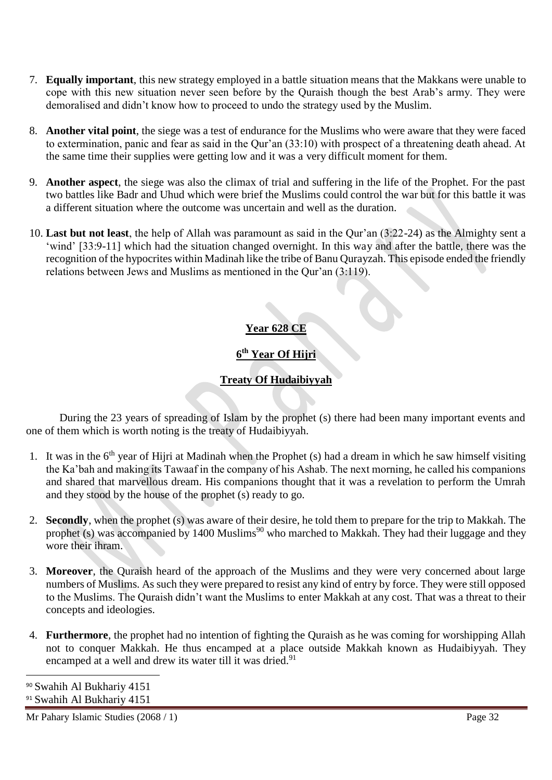- 7. **Equally important**, this new strategy employed in a battle situation means that the Makkans were unable to cope with this new situation never seen before by the Quraish though the best Arab's army. They were demoralised and didn't know how to proceed to undo the strategy used by the Muslim.
- 8. **Another vital point**, the siege was a test of endurance for the Muslims who were aware that they were faced to extermination, panic and fear as said in the Qur'an (33:10) with prospect of a threatening death ahead. At the same time their supplies were getting low and it was a very difficult moment for them.
- 9. **Another aspect**, the siege was also the climax of trial and suffering in the life of the Prophet. For the past two battles like Badr and Uhud which were brief the Muslims could control the war but for this battle it was a different situation where the outcome was uncertain and well as the duration.
- 10. **Last but not least**, the help of Allah was paramount as said in the Qur'an (3:22-24) as the Almighty sent a 'wind' [33:9-11] which had the situation changed overnight. In this way and after the battle, there was the recognition of the hypocrites within Madinah like the tribe of Banu Qurayzah. This episode ended the friendly relations between Jews and Muslims as mentioned in the Qur'an (3:119).

# **Year 628 CE**

# **6 th Year Of Hijri**

# **Treaty Of Hudaibiyyah**

During the 23 years of spreading of Islam by the prophet (s) there had been many important events and one of them which is worth noting is the treaty of Hudaibiyyah.

- 1. It was in the  $6<sup>th</sup>$  year of Hijri at Madinah when the Prophet (s) had a dream in which he saw himself visiting the Ka'bah and making its Tawaaf in the company of his Ashab. The next morning, he called his companions and shared that marvellous dream. His companions thought that it was a revelation to perform the Umrah and they stood by the house of the prophet (s) ready to go.
- 2. **Secondly**, when the prophet (s) was aware of their desire, he told them to prepare for the trip to Makkah. The prophet (s) was accompanied by 1400 Muslims<sup>90</sup> who marched to Makkah. They had their luggage and they wore their ihram.
- 3. **Moreover**, the Quraish heard of the approach of the Muslims and they were very concerned about large numbers of Muslims. As such they were prepared to resist any kind of entry by force. They were still opposed to the Muslims. The Quraish didn't want the Muslims to enter Makkah at any cost. That was a threat to their concepts and ideologies.
- 4. **Furthermore**, the prophet had no intention of fighting the Quraish as he was coming for worshipping Allah not to conquer Makkah. He thus encamped at a place outside Makkah known as Hudaibiyyah. They encamped at a well and drew its water till it was dried.<sup>91</sup>

<sup>90</sup> Swahih Al Bukhariy 4151 <sup>91</sup> Swahih Al Bukhariy 4151

l

Mr Pahary Islamic Studies (2068 / 1) Page 32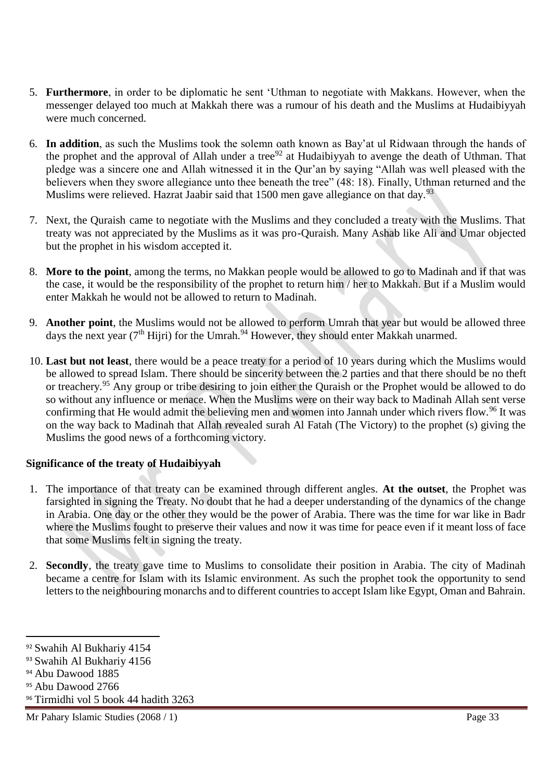- 5. **Furthermore**, in order to be diplomatic he sent 'Uthman to negotiate with Makkans. However, when the messenger delayed too much at Makkah there was a rumour of his death and the Muslims at Hudaibiyyah were much concerned.
- 6. **In addition**, as such the Muslims took the solemn oath known as Bay'at ul Ridwaan through the hands of the prophet and the approval of Allah under a tree<sup>92</sup> at Hudaibiyyah to avenge the death of Uthman. That pledge was a sincere one and Allah witnessed it in the Qur'an by saying "Allah was well pleased with the believers when they swore allegiance unto thee beneath the tree" (48: 18). Finally, Uthman returned and the Muslims were relieved. Hazrat Jaabir said that 1500 men gave allegiance on that day.<sup>93</sup>
- 7. Next, the Quraish came to negotiate with the Muslims and they concluded a treaty with the Muslims. That treaty was not appreciated by the Muslims as it was pro-Quraish. Many Ashab like Ali and Umar objected but the prophet in his wisdom accepted it.
- 8. **More to the point**, among the terms, no Makkan people would be allowed to go to Madinah and if that was the case, it would be the responsibility of the prophet to return him / her to Makkah. But if a Muslim would enter Makkah he would not be allowed to return to Madinah.
- 9. **Another point**, the Muslims would not be allowed to perform Umrah that year but would be allowed three days the next year ( $7<sup>th</sup>$  Hijri) for the Umrah.<sup>94</sup> However, they should enter Makkah unarmed.
- 10. **Last but not least**, there would be a peace treaty for a period of 10 years during which the Muslims would be allowed to spread Islam. There should be sincerity between the 2 parties and that there should be no theft or treachery.<sup>95</sup> Any group or tribe desiring to join either the Quraish or the Prophet would be allowed to do so without any influence or menace. When the Muslims were on their way back to Madinah Allah sent verse confirming that He would admit the believing men and women into Jannah under which rivers flow.<sup>96</sup> It was on the way back to Madinah that Allah revealed surah Al Fatah (The Victory) to the prophet (s) giving the Muslims the good news of a forthcoming victory.

#### **Significance of the treaty of Hudaibiyyah**

- 1. The importance of that treaty can be examined through different angles. **At the outset**, the Prophet was farsighted in signing the Treaty. No doubt that he had a deeper understanding of the dynamics of the change in Arabia. One day or the other they would be the power of Arabia. There was the time for war like in Badr where the Muslims fought to preserve their values and now it was time for peace even if it meant loss of face that some Muslims felt in signing the treaty.
- 2. **Secondly**, the treaty gave time to Muslims to consolidate their position in Arabia. The city of Madinah became a centre for Islam with its Islamic environment. As such the prophet took the opportunity to send letters to the neighbouring monarchs and to different countries to accept Islam like Egypt, Oman and Bahrain.

<sup>92</sup> Swahih Al Bukhariy 4154

<sup>93</sup> Swahih Al Bukhariy 4156

<sup>94</sup> Abu Dawood 1885

<sup>95</sup> Abu Dawood 2766

<sup>96</sup> Tirmidhi vol 5 book 44 hadith 3263

Mr Pahary Islamic Studies (2068 / 1) Page 33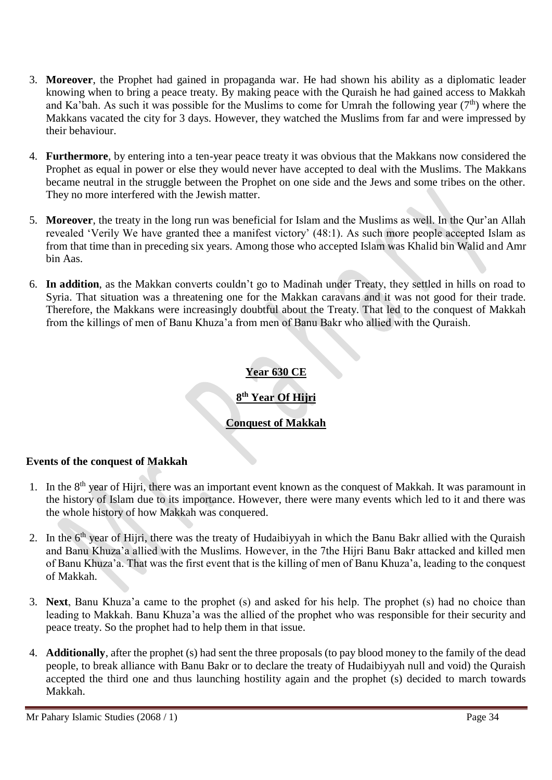- 3. **Moreover**, the Prophet had gained in propaganda war. He had shown his ability as a diplomatic leader knowing when to bring a peace treaty. By making peace with the Quraish he had gained access to Makkah and Ka'bah. As such it was possible for the Muslims to come for Umrah the following year  $(7<sup>th</sup>)$  where the Makkans vacated the city for 3 days. However, they watched the Muslims from far and were impressed by their behaviour.
- 4. **Furthermore**, by entering into a ten-year peace treaty it was obvious that the Makkans now considered the Prophet as equal in power or else they would never have accepted to deal with the Muslims. The Makkans became neutral in the struggle between the Prophet on one side and the Jews and some tribes on the other. They no more interfered with the Jewish matter.
- 5. **Moreover**, the treaty in the long run was beneficial for Islam and the Muslims as well. In the Qur'an Allah revealed 'Verily We have granted thee a manifest victory' (48:1). As such more people accepted Islam as from that time than in preceding six years. Among those who accepted Islam was Khalid bin Walid and Amr bin Aas.
- 6. **In addition**, as the Makkan converts couldn't go to Madinah under Treaty, they settled in hills on road to Syria. That situation was a threatening one for the Makkan caravans and it was not good for their trade. Therefore, the Makkans were increasingly doubtful about the Treaty. That led to the conquest of Makkah from the killings of men of Banu Khuza'a from men of Banu Bakr who allied with the Quraish.

# **Year 630 CE**

# **8 th Year Of Hijri**

## **Conquest of Makkah**

#### **Events of the conquest of Makkah**

- 1. In the 8<sup>th</sup> year of Hijri, there was an important event known as the conquest of Makkah. It was paramount in the history of Islam due to its importance. However, there were many events which led to it and there was the whole history of how Makkah was conquered.
- 2. In the  $6<sup>th</sup>$  year of Hijri, there was the treaty of Hudaibiyyah in which the Banu Bakr allied with the Quraish and Banu Khuza'a allied with the Muslims. However, in the 7the Hijri Banu Bakr attacked and killed men of Banu Khuza'a. That was the first event that is the killing of men of Banu Khuza'a, leading to the conquest of Makkah.
- 3. **Next**, Banu Khuza'a came to the prophet (s) and asked for his help. The prophet (s) had no choice than leading to Makkah. Banu Khuza'a was the allied of the prophet who was responsible for their security and peace treaty. So the prophet had to help them in that issue.
- 4. **Additionally**, after the prophet (s) had sent the three proposals (to pay blood money to the family of the dead people, to break alliance with Banu Bakr or to declare the treaty of Hudaibiyyah null and void) the Quraish accepted the third one and thus launching hostility again and the prophet (s) decided to march towards Makkah.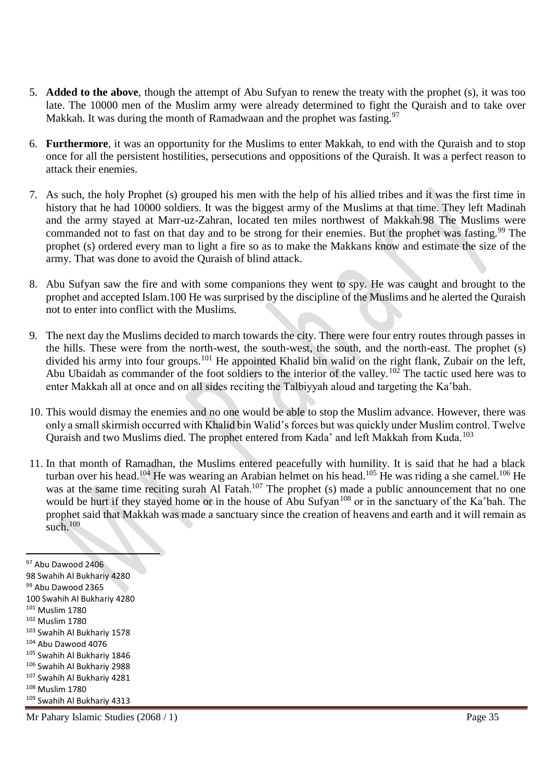- 5. **Added to the above**, though the attempt of Abu Sufyan to renew the treaty with the prophet (s), it was too late. The 10000 men of the Muslim army were already determined to fight the Quraish and to take over Makkah. It was during the month of Ramadwaan and the prophet was fasting.<sup>97</sup>
- 6. **Furthermore**, it was an opportunity for the Muslims to enter Makkah, to end with the Quraish and to stop once for all the persistent hostilities, persecutions and oppositions of the Quraish. It was a perfect reason to attack their enemies.
- 7. As such, the holy Prophet (s) grouped his men with the help of his allied tribes and it was the first time in history that he had 10000 soldiers. It was the biggest army of the Muslims at that time. They left Madinah and the army stayed at Marr-uz-Zahran, located ten miles northwest of Makkah.98 The Muslims were commanded not to fast on that day and to be strong for their enemies. But the prophet was fasting.<sup>99</sup> The prophet (s) ordered every man to light a fire so as to make the Makkans know and estimate the size of the army. That was done to avoid the Quraish of blind attack.
- 8. Abu Sufyan saw the fire and with some companions they went to spy. He was caught and brought to the prophet and accepted Islam.100 He was surprised by the discipline of the Muslims and he alerted the Quraish not to enter into conflict with the Muslims.
- 9. The next day the Muslims decided to march towards the city. There were four entry routes through passes in the hills. These were from the north-west, the south-west, the south, and the north-east. The prophet (s) divided his army into four groups.<sup>101</sup> He appointed Khalid bin walid on the right flank, Zubair on the left, Abu Ubaidah as commander of the foot soldiers to the interior of the valley.<sup>102</sup> The tactic used here was to enter Makkah all at once and on all sides reciting the Talbiyyah aloud and targeting the Ka'bah.
- 10. This would dismay the enemies and no one would be able to stop the Muslim advance. However, there was only a small skirmish occurred with Khalid bin Walid's forces but was quickly under Muslim control. Twelve Quraish and two Muslims died. The prophet entered from Kada' and left Makkah from Kuda.<sup>103</sup>
- 11. In that month of Ramadhan, the Muslims entered peacefully with humility. It is said that he had a black turban over his head.<sup>104</sup> He was wearing an Arabian helmet on his head.<sup>105</sup> He was riding a she camel.<sup>106</sup> He was at the same time reciting surah Al Fatah.<sup>107</sup> The prophet (s) made a public announcement that no one would be hurt if they stayed home or in the house of Abu Sufyan<sup>108</sup> or in the sanctuary of the Ka'bah. The prophet said that Makkah was made a sanctuary since the creation of heavens and earth and it will remain as such. $109$

 $\overline{a}$  Abu Dawood 2406 Swahih Al Bukhariy 4280 99 Abu Dawood 2365 Swahih Al Bukhariy 4280 Muslim 1780 Muslim 1780 Swahih Al Bukhariy 1578 Abu Dawood 4076 Swahih Al Bukhariy 1846 Swahih Al Bukhariy 2988 Swahih Al Bukhariy 4281 Muslim 1780 Swahih Al Bukhariy 4313

Mr Pahary Islamic Studies (2068 / 1) Page 35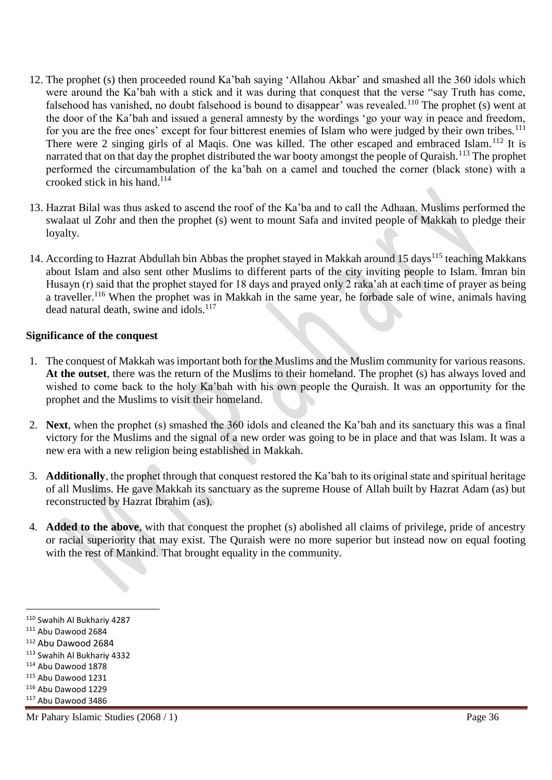- 12. The prophet (s) then proceeded round Ka'bah saying 'Allahou Akbar' and smashed all the 360 idols which were around the Ka'bah with a stick and it was during that conquest that the verse "say Truth has come, falsehood has vanished, no doubt falsehood is bound to disappear' was revealed.<sup>110</sup> The prophet (s) went at the door of the Ka'bah and issued a general amnesty by the wordings 'go your way in peace and freedom, for you are the free ones' except for four bitterest enemies of Islam who were judged by their own tribes.<sup>111</sup> There were 2 singing girls of al Maqis. One was killed. The other escaped and embraced Islam.<sup>112</sup> It is narrated that on that day the prophet distributed the war booty amongst the people of Quraish.<sup>113</sup> The prophet performed the circumambulation of the ka'bah on a camel and touched the corner (black stone) with a crooked stick in his hand. $114$
- 13. Hazrat Bilal was thus asked to ascend the roof of the Ka'ba and to call the Adhaan. Muslims performed the swalaat ul Zohr and then the prophet (s) went to mount Safa and invited people of Makkah to pledge their loyalty.
- 14. According to Hazrat Abdullah bin Abbas the prophet stayed in Makkah around 15 days<sup>115</sup> teaching Makkans about Islam and also sent other Muslims to different parts of the city inviting people to Islam. Imran bin Husayn (r) said that the prophet stayed for 18 days and prayed only 2 raka'ah at each time of prayer as being a traveller.<sup>116</sup> When the prophet was in Makkah in the same year, he forbade sale of wine, animals having dead natural death, swine and idols. $117$

#### **Significance of the conquest**

- 1. The conquest of Makkah was important both for the Muslims and the Muslim community for various reasons. **At the outset**, there was the return of the Muslims to their homeland. The prophet (s) has always loved and wished to come back to the holy Ka'bah with his own people the Quraish. It was an opportunity for the prophet and the Muslims to visit their homeland.
- 2. **Next**, when the prophet (s) smashed the 360 idols and cleaned the Ka'bah and its sanctuary this was a final victory for the Muslims and the signal of a new order was going to be in place and that was Islam. It was a new era with a new religion being established in Makkah.
- 3. **Additionally**, the prophet through that conquest restored the Ka'bah to its original state and spiritual heritage of all Muslims. He gave Makkah its sanctuary as the supreme House of Allah built by Hazrat Adam (as) but reconstructed by Hazrat Ibrahim (as).
- 4. **Added to the above**, with that conquest the prophet (s) abolished all claims of privilege, pride of ancestry or racial superiority that may exist. The Quraish were no more superior but instead now on equal footing with the rest of Mankind. That brought equality in the community.

l

<sup>110</sup> Swahih Al Bukhariy 4287

<sup>111</sup> Abu Dawood 2684

<sup>112</sup> Abu Dawood 2684

<sup>113</sup> Swahih Al Bukhariy 4332

<sup>114</sup> Abu Dawood 1878

<sup>115</sup> Abu Dawood 1231

<sup>116</sup> Abu Dawood 1229

<sup>117</sup> Abu Dawood 3486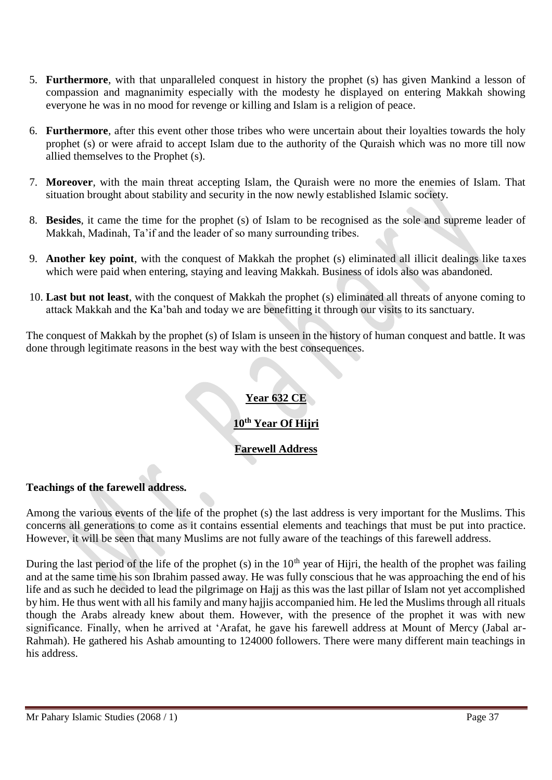- 5. **Furthermore**, with that unparalleled conquest in history the prophet (s) has given Mankind a lesson of compassion and magnanimity especially with the modesty he displayed on entering Makkah showing everyone he was in no mood for revenge or killing and Islam is a religion of peace.
- 6. **Furthermore**, after this event other those tribes who were uncertain about their loyalties towards the holy prophet (s) or were afraid to accept Islam due to the authority of the Quraish which was no more till now allied themselves to the Prophet (s).
- 7. **Moreover**, with the main threat accepting Islam, the Quraish were no more the enemies of Islam. That situation brought about stability and security in the now newly established Islamic society.
- 8. **Besides**, it came the time for the prophet (s) of Islam to be recognised as the sole and supreme leader of Makkah, Madinah, Ta'if and the leader of so many surrounding tribes.
- 9. **Another key point**, with the conquest of Makkah the prophet (s) eliminated all illicit dealings like taxes which were paid when entering, staying and leaving Makkah. Business of idols also was abandoned.
- 10. **Last but not least**, with the conquest of Makkah the prophet (s) eliminated all threats of anyone coming to attack Makkah and the Ka'bah and today we are benefitting it through our visits to its sanctuary.

The conquest of Makkah by the prophet (s) of Islam is unseen in the history of human conquest and battle. It was done through legitimate reasons in the best way with the best consequences.

## **Year 632 CE**

# **10th Year Of Hijri**

## **Farewell Address**

#### **Teachings of the farewell address.**

Among the various events of the life of the prophet (s) the last address is very important for the Muslims. This concerns all generations to come as it contains essential elements and teachings that must be put into practice. However, it will be seen that many Muslims are not fully aware of the teachings of this farewell address.

During the last period of the life of the prophet (s) in the  $10<sup>th</sup>$  year of Hijri, the health of the prophet was failing and at the same time his son Ibrahim passed away. He was fully conscious that he was approaching the end of his life and as such he decided to lead the pilgrimage on Hajj as this was the last pillar of Islam not yet accomplished by him. He thus went with all his family and many hajjis accompanied him. He led the Muslims through all rituals though the Arabs already knew about them. However, with the presence of the prophet it was with new significance. Finally, when he arrived at 'Arafat, he gave his farewell address at Mount of Mercy (Jabal ar-Rahmah). He gathered his Ashab amounting to 124000 followers. There were many different main teachings in his address.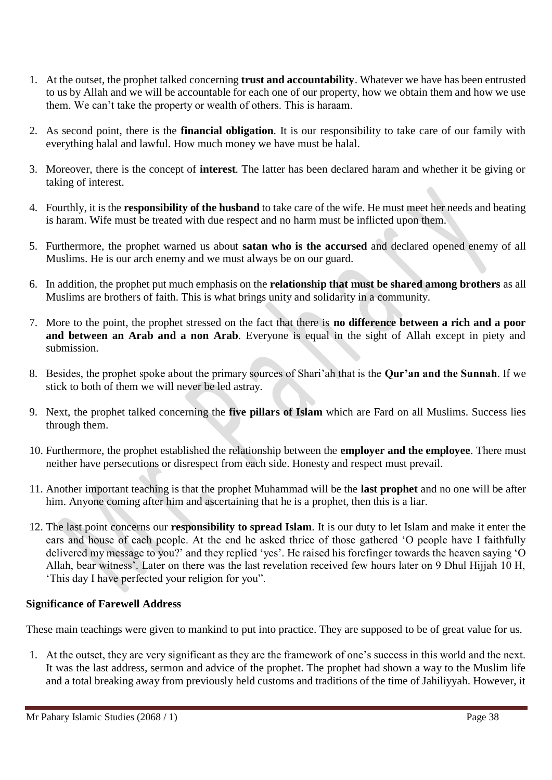- 1. At the outset, the prophet talked concerning **trust and accountability**. Whatever we have has been entrusted to us by Allah and we will be accountable for each one of our property, how we obtain them and how we use them. We can't take the property or wealth of others. This is haraam.
- 2. As second point, there is the **financial obligation**. It is our responsibility to take care of our family with everything halal and lawful. How much money we have must be halal.
- 3. Moreover, there is the concept of **interest**. The latter has been declared haram and whether it be giving or taking of interest.
- 4. Fourthly, it is the **responsibility of the husband** to take care of the wife. He must meet her needs and beating is haram. Wife must be treated with due respect and no harm must be inflicted upon them.
- 5. Furthermore, the prophet warned us about **satan who is the accursed** and declared opened enemy of all Muslims. He is our arch enemy and we must always be on our guard.
- 6. In addition, the prophet put much emphasis on the **relationship that must be shared among brothers** as all Muslims are brothers of faith. This is what brings unity and solidarity in a community.
- 7. More to the point, the prophet stressed on the fact that there is **no difference between a rich and a poor and between an Arab and a non Arab**. Everyone is equal in the sight of Allah except in piety and submission.
- 8. Besides, the prophet spoke about the primary sources of Shari'ah that is the **Qur'an and the Sunnah**. If we stick to both of them we will never be led astray.
- 9. Next, the prophet talked concerning the **five pillars of Islam** which are Fard on all Muslims. Success lies through them.
- 10. Furthermore, the prophet established the relationship between the **employer and the employee**. There must neither have persecutions or disrespect from each side. Honesty and respect must prevail.
- 11. Another important teaching is that the prophet Muhammad will be the **last prophet** and no one will be after him. Anyone coming after him and ascertaining that he is a prophet, then this is a liar.
- 12. The last point concerns our **responsibility to spread Islam**. It is our duty to let Islam and make it enter the ears and house of each people. At the end he asked thrice of those gathered 'O people have I faithfully delivered my message to you?' and they replied 'yes'. He raised his forefinger towards the heaven saying 'O Allah, bear witness'. Later on there was the last revelation received few hours later on 9 Dhul Hijjah 10 H, 'This day I have perfected your religion for you".

#### **Significance of Farewell Address**

These main teachings were given to mankind to put into practice. They are supposed to be of great value for us.

1. At the outset, they are very significant as they are the framework of one's success in this world and the next. It was the last address, sermon and advice of the prophet. The prophet had shown a way to the Muslim life and a total breaking away from previously held customs and traditions of the time of Jahiliyyah. However, it